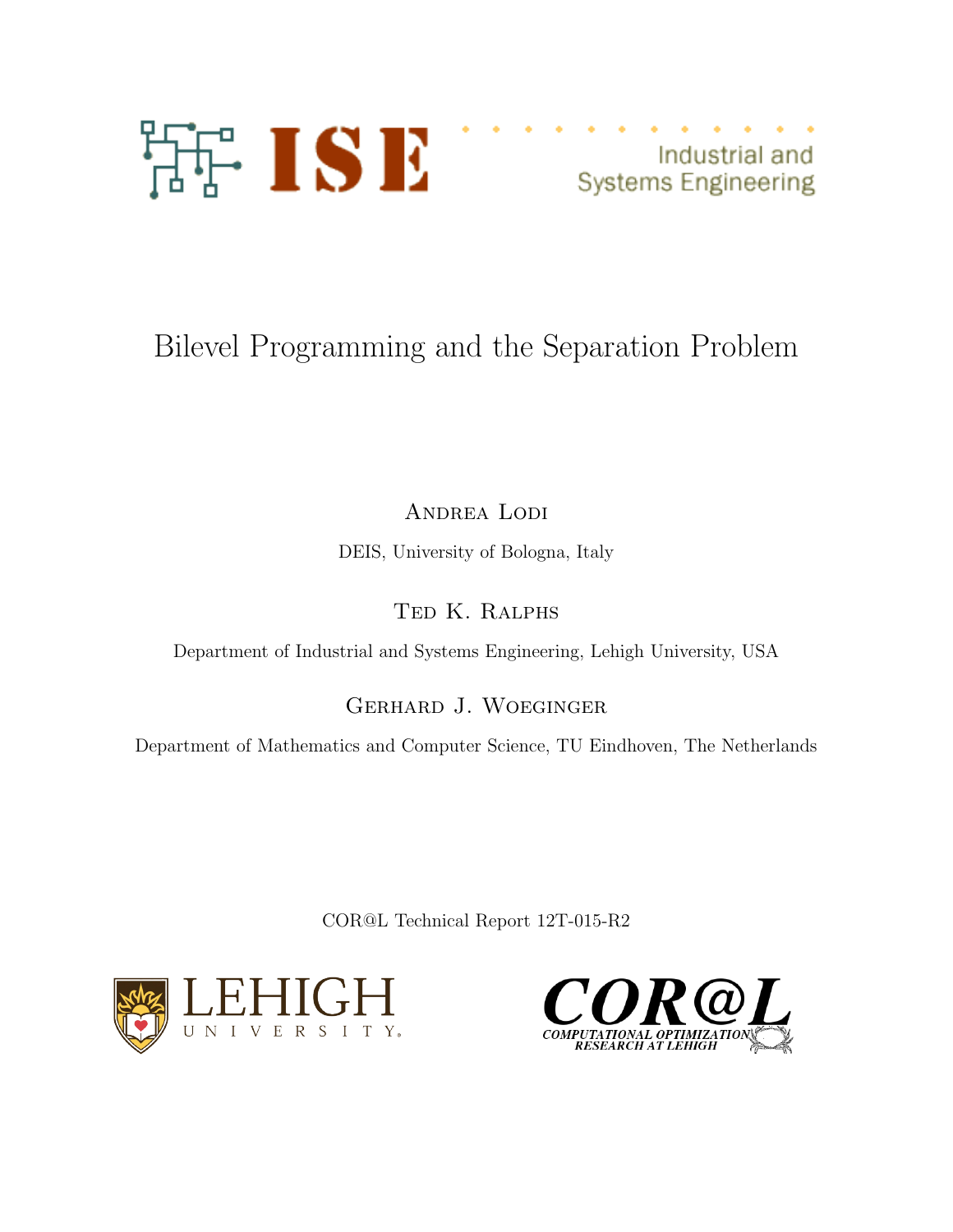

Industrial and **Systems Engineering** 

# Bilevel Programming and the Separation Problem

ANDREA LODI DEIS, University of Bologna, Italy

Ted K. Ralphs

Department of Industrial and Systems Engineering, Lehigh University, USA

Gerhard J. Woeginger

Department of Mathematics and Computer Science, TU Eindhoven, The Netherlands

COR@L Technical Report 12T-015-R2



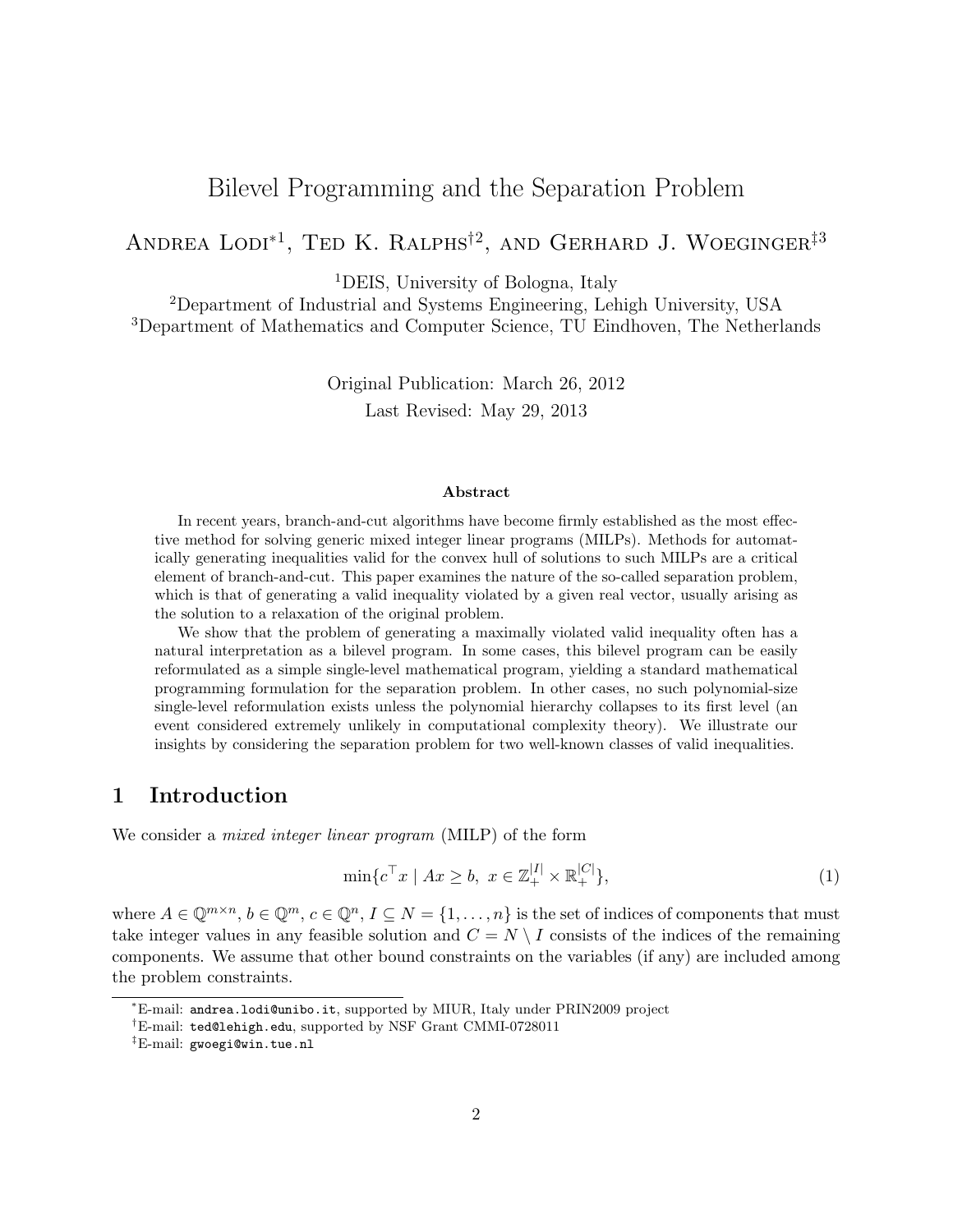# Bilevel Programming and the Separation Problem

# ANDREA  $\text{LODI}^{*1}$ , Ted K. Ralphs<sup>†2</sup>, and Gerhard J. Woeginger<sup>‡3</sup>

<sup>1</sup>DEIS, University of Bologna, Italy

<sup>2</sup>Department of Industrial and Systems Engineering, Lehigh University, USA <sup>3</sup>Department of Mathematics and Computer Science, TU Eindhoven, The Netherlands

> Original Publication: March 26, 2012 Last Revised: May 29, 2013

#### Abstract

In recent years, branch-and-cut algorithms have become firmly established as the most effective method for solving generic mixed integer linear programs (MILPs). Methods for automatically generating inequalities valid for the convex hull of solutions to such MILPs are a critical element of branch-and-cut. This paper examines the nature of the so-called separation problem, which is that of generating a valid inequality violated by a given real vector, usually arising as the solution to a relaxation of the original problem.

We show that the problem of generating a maximally violated valid inequality often has a natural interpretation as a bilevel program. In some cases, this bilevel program can be easily reformulated as a simple single-level mathematical program, yielding a standard mathematical programming formulation for the separation problem. In other cases, no such polynomial-size single-level reformulation exists unless the polynomial hierarchy collapses to its first level (an event considered extremely unlikely in computational complexity theory). We illustrate our insights by considering the separation problem for two well-known classes of valid inequalities.

### 1 Introduction

We consider a *mixed integer linear program* (MILP) of the form

$$
\min \{ c^{\top} x \mid Ax \ge b, \ x \in \mathbb{Z}_+^{|I|} \times \mathbb{R}_+^{|C|} \},\tag{1}
$$

where  $A \in \mathbb{Q}^{m \times n}$ ,  $b \in \mathbb{Q}^m$ ,  $c \in \mathbb{Q}^n$ ,  $I \subseteq N = \{1, \ldots, n\}$  is the set of indices of components that must take integer values in any feasible solution and  $C = N \setminus I$  consists of the indices of the remaining components. We assume that other bound constraints on the variables (if any) are included among the problem constraints.

<sup>∗</sup>E-mail: andrea.lodi@unibo.it, supported by MIUR, Italy under PRIN2009 project

<sup>†</sup>E-mail: ted@lehigh.edu, supported by NSF Grant CMMI-0728011

<sup>‡</sup>E-mail: gwoegi@win.tue.nl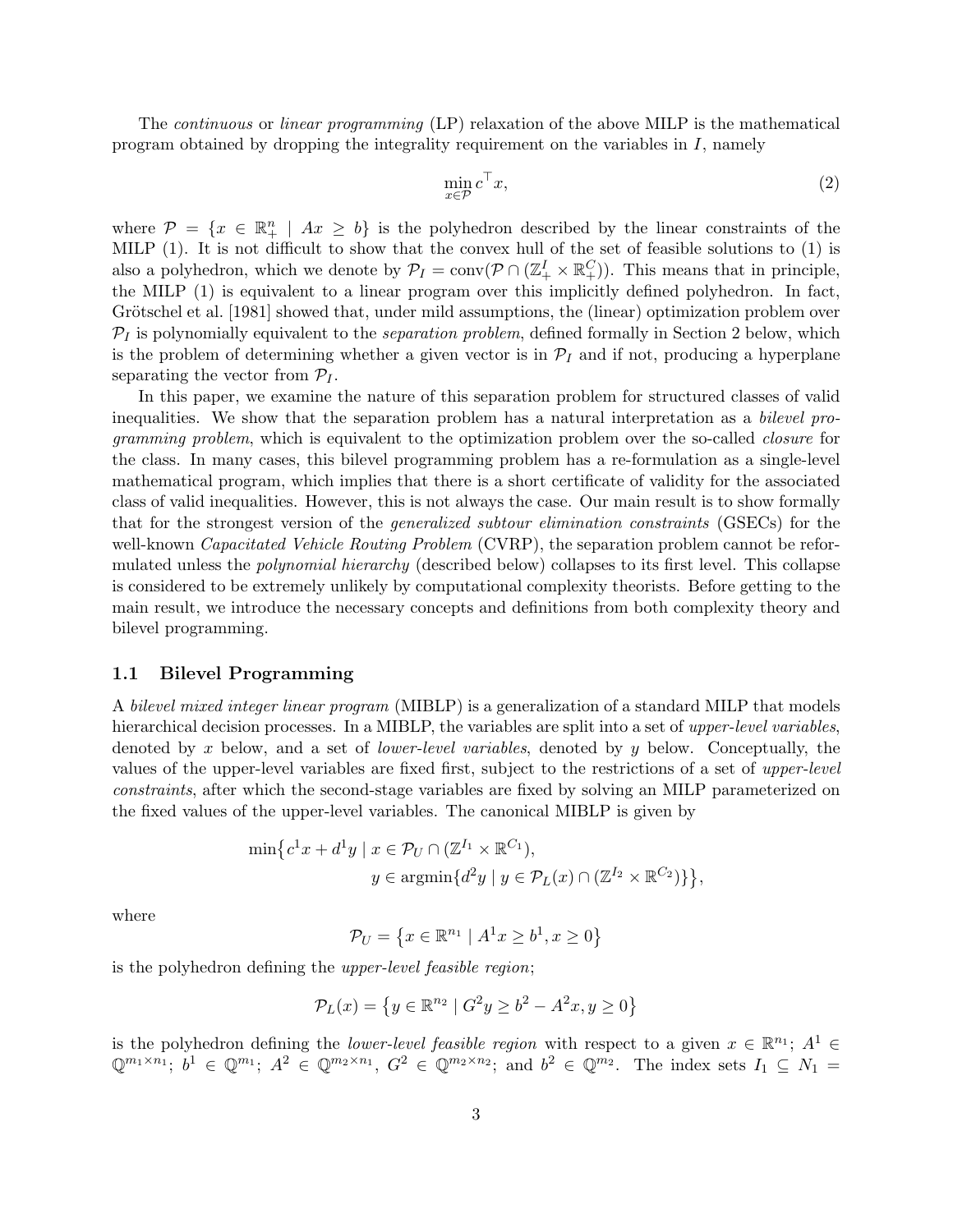The continuous or linear programming (LP) relaxation of the above MILP is the mathematical program obtained by dropping the integrality requirement on the variables in  $I$ , namely

$$
\min_{x \in \mathcal{P}} c^{\top} x,\tag{2}
$$

where  $\mathcal{P} = \{x \in \mathbb{R}^n_+ \mid Ax \geq b\}$  is the polyhedron described by the linear constraints of the MILP (1). It is not difficult to show that the convex hull of the set of feasible solutions to (1) is also a polyhedron, which we denote by  $\mathcal{P}_I = \text{conv}(\mathcal{P} \cap (\mathbb{Z}_+^I \times \mathbb{R}_+^C))$ . This means that in principle, the MILP (1) is equivalent to a linear program over this implicitly defined polyhedron. In fact, Grötschel et al. [1981] showed that, under mild assumptions, the (linear) optimization problem over  $P_I$  is polynomially equivalent to the *separation problem*, defined formally in Section 2 below, which is the problem of determining whether a given vector is in  $\mathcal{P}_I$  and if not, producing a hyperplane separating the vector from  $\mathcal{P}_I$ .

In this paper, we examine the nature of this separation problem for structured classes of valid inequalities. We show that the separation problem has a natural interpretation as a bilevel programming problem, which is equivalent to the optimization problem over the so-called closure for the class. In many cases, this bilevel programming problem has a re-formulation as a single-level mathematical program, which implies that there is a short certificate of validity for the associated class of valid inequalities. However, this is not always the case. Our main result is to show formally that for the strongest version of the generalized subtour elimination constraints (GSECs) for the well-known *Capacitated Vehicle Routing Problem* (CVRP), the separation problem cannot be reformulated unless the *polynomial hierarchy* (described below) collapses to its first level. This collapse is considered to be extremely unlikely by computational complexity theorists. Before getting to the main result, we introduce the necessary concepts and definitions from both complexity theory and bilevel programming.

#### 1.1 Bilevel Programming

A bilevel mixed integer linear program (MIBLP) is a generalization of a standard MILP that models hierarchical decision processes. In a MIBLP, the variables are split into a set of upper-level variables, denoted by x below, and a set of *lower-level variables*, denoted by y below. Conceptually, the values of the upper-level variables are fixed first, subject to the restrictions of a set of upper-level constraints, after which the second-stage variables are fixed by solving an MILP parameterized on the fixed values of the upper-level variables. The canonical MIBLP is given by

$$
\min \left\{ c^1 x + d^1 y \mid x \in \mathcal{P}_U \cap (\mathbb{Z}^{I_1} \times \mathbb{R}^{C_1}), \right\}
$$

$$
y \in \operatorname{argmin} \{ d^2 y \mid y \in \mathcal{P}_L(x) \cap (\mathbb{Z}^{I_2} \times \mathbb{R}^{C_2}) \} \right\},
$$

where

$$
\mathcal{P}_U = \left\{ x \in \mathbb{R}^{n_1} \mid A^1 x \ge b^1, x \ge 0 \right\}
$$

is the polyhedron defining the upper-level feasible region;

$$
\mathcal{P}_L(x) = \left\{ y \in \mathbb{R}^{n_2} \mid G^2 y \ge b^2 - A^2 x, y \ge 0 \right\}
$$

is the polyhedron defining the *lower-level feasible region* with respect to a given  $x \in \mathbb{R}^{n_1}$ ;  $A^1 \in$  $\mathbb{Q}^{m_1 \times n_1}; b^1 \in \mathbb{Q}^{m_1}; A^2 \in \mathbb{Q}^{m_2 \times n_1}, G^2 \in \mathbb{Q}^{m_2 \times n_2}; \text{ and } b^2 \in \mathbb{Q}^{m_2}.$  The index sets  $I_1 \subseteq N_1 =$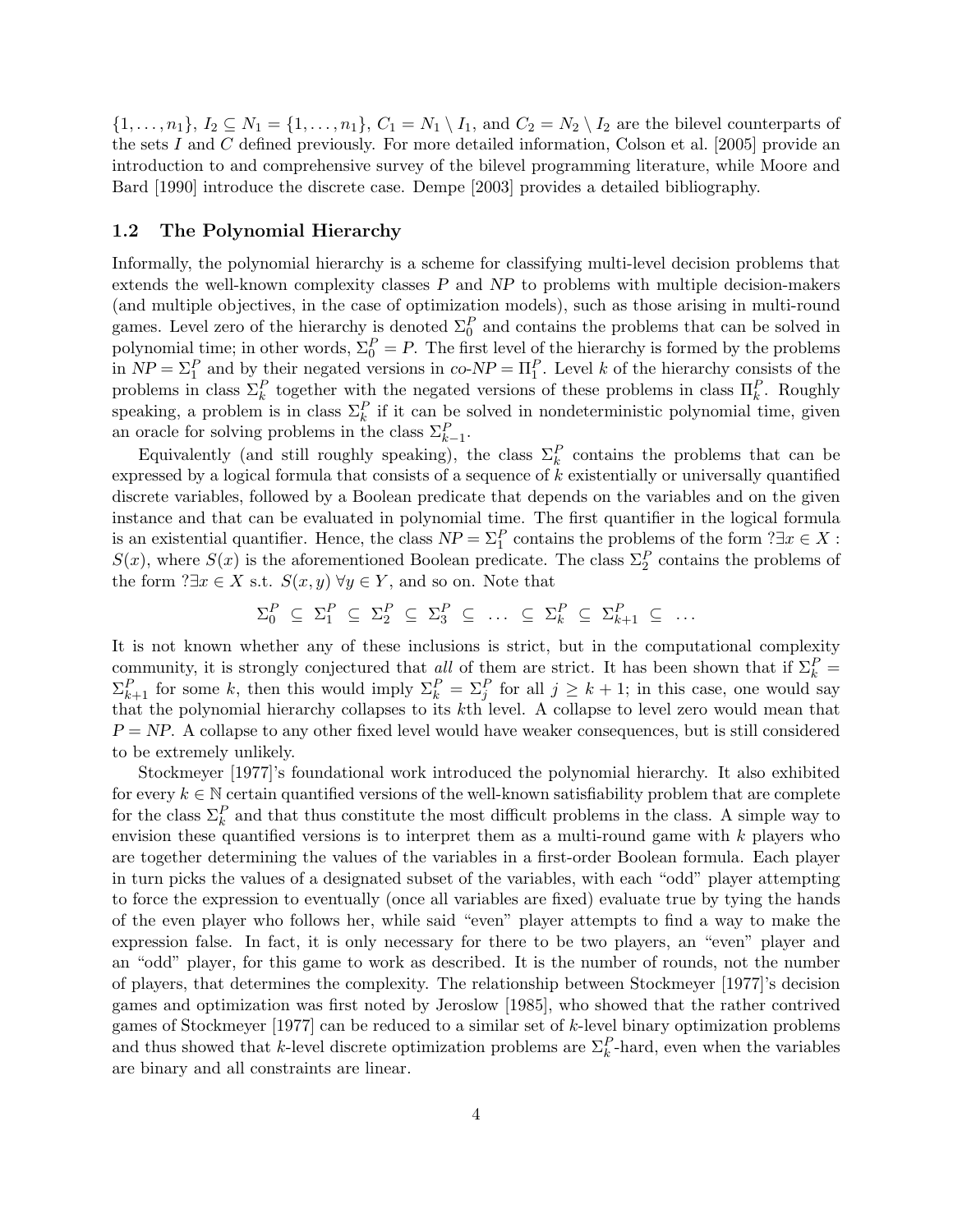$\{1,\ldots,n_1\}, I_2 \subseteq N_1 = \{1,\ldots,n_1\}, C_1 = N_1 \setminus I_1$ , and  $C_2 = N_2 \setminus I_2$  are the bilevel counterparts of the sets I and C defined previously. For more detailed information, Colson et al.  $[2005]$  provide an introduction to and comprehensive survey of the bilevel programming literature, while Moore and Bard [1990] introduce the discrete case. Dempe [2003] provides a detailed bibliography.

#### 1.2 The Polynomial Hierarchy

Informally, the polynomial hierarchy is a scheme for classifying multi-level decision problems that extends the well-known complexity classes  $P$  and  $NP$  to problems with multiple decision-makers (and multiple objectives, in the case of optimization models), such as those arising in multi-round games. Level zero of the hierarchy is denoted  $\Sigma_0^P$  and contains the problems that can be solved in polynomial time; in other words,  $\Sigma_0^P = P$ . The first level of the hierarchy is formed by the problems in  $NP = \Sigma_1^P$  and by their negated versions in  $co-NP = \Pi_1^P$ . Level k of the hierarchy consists of the problems in class  $\Sigma_k^P$  together with the negated versions of these problems in class  $\Pi_k^P$ . Roughly speaking, a problem is in class  $\Sigma_k^P$  if it can be solved in nondeterministic polynomial time, given an oracle for solving problems in the class  $\Sigma_{k-1}^P$ .

Equivalently (and still roughly speaking), the class  $\Sigma_k^P$  contains the problems that can be expressed by a logical formula that consists of a sequence of k existentially or universally quantified discrete variables, followed by a Boolean predicate that depends on the variables and on the given instance and that can be evaluated in polynomial time. The first quantifier in the logical formula is an existential quantifier. Hence, the class  $NP = \Sigma_1^P$  contains the problems of the form  $? \exists x \in X$ :  $S(x)$ , where  $S(x)$  is the aforementioned Boolean predicate. The class  $\Sigma_2^P$  contains the problems of the form  $? \exists x \in X \text{ s.t. } S(x, y) \forall y \in Y$ , and so on. Note that

$$
\Sigma_0^P \subseteq \Sigma_1^P \subseteq \Sigma_2^P \subseteq \Sigma_3^P \subseteq \dots \subseteq \Sigma_k^P \subseteq \Sigma_{k+1}^P \subseteq \dots
$$

It is not known whether any of these inclusions is strict, but in the computational complexity community, it is strongly conjectured that all of them are strict. It has been shown that if  $\Sigma_k^P$  =  $\Sigma_{k+1}^P$  for some k, then this would imply  $\Sigma_k^P = \Sigma_j^P$  for all  $j \geq k+1$ ; in this case, one would say that the polynomial hierarchy collapses to its kth level. A collapse to level zero would mean that  $P = NP$ . A collapse to any other fixed level would have weaker consequences, but is still considered to be extremely unlikely.

Stockmeyer [1977]'s foundational work introduced the polynomial hierarchy. It also exhibited for every  $k \in \mathbb{N}$  certain quantified versions of the well-known satisfiability problem that are complete for the class  $\Sigma_k^P$  and that thus constitute the most difficult problems in the class. A simple way to envision these quantified versions is to interpret them as a multi-round game with  $k$  players who are together determining the values of the variables in a first-order Boolean formula. Each player in turn picks the values of a designated subset of the variables, with each "odd" player attempting to force the expression to eventually (once all variables are fixed) evaluate true by tying the hands of the even player who follows her, while said "even" player attempts to find a way to make the expression false. In fact, it is only necessary for there to be two players, an "even" player and an "odd" player, for this game to work as described. It is the number of rounds, not the number of players, that determines the complexity. The relationship between Stockmeyer [1977]'s decision games and optimization was first noted by Jeroslow [1985], who showed that the rather contrived games of Stockmeyer [1977] can be reduced to a similar set of k-level binary optimization problems and thus showed that k-level discrete optimization problems are  $\Sigma_k^P$ -hard, even when the variables are binary and all constraints are linear.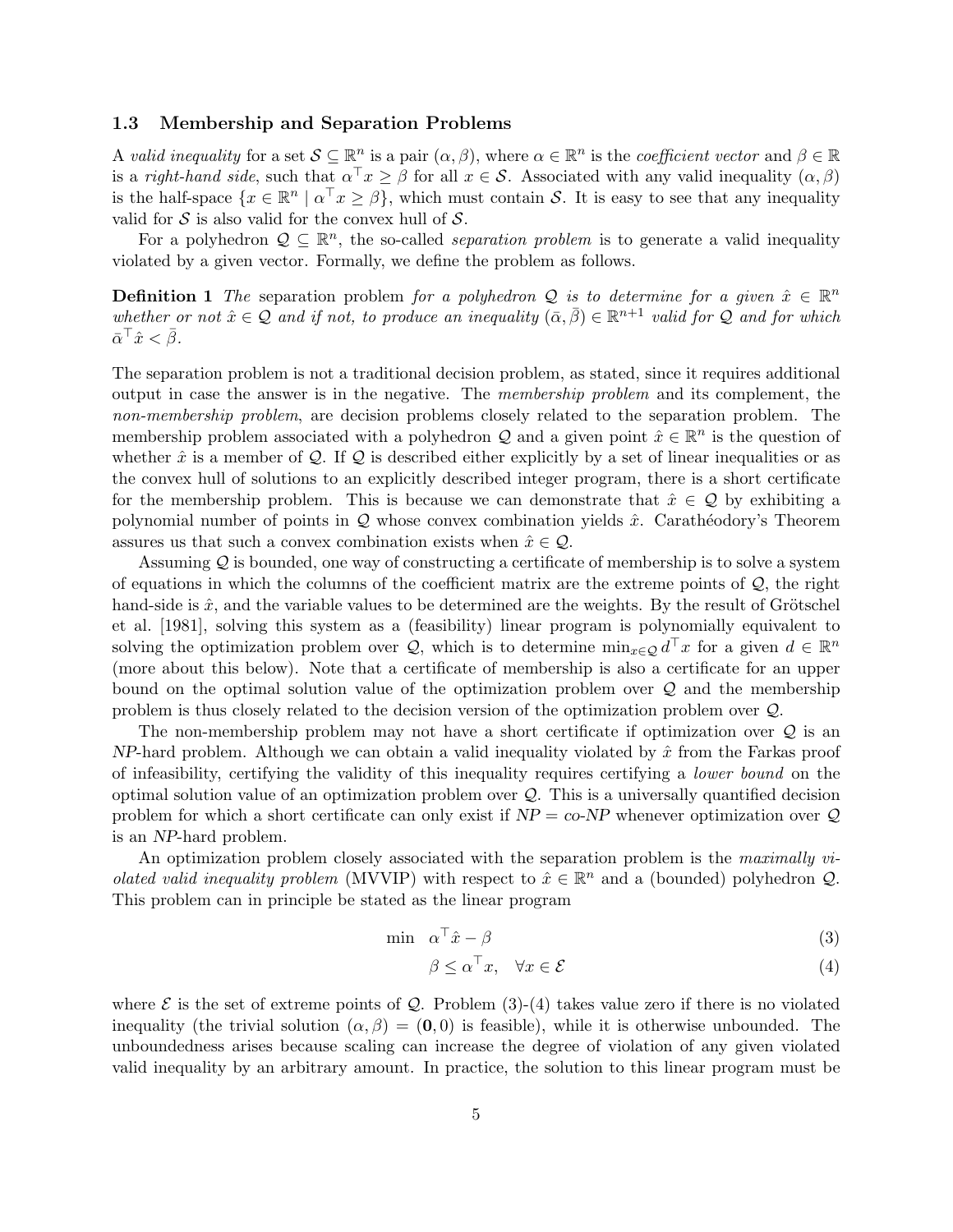#### 1.3 Membership and Separation Problems

A valid inequality for a set  $\mathcal{S} \subseteq \mathbb{R}^n$  is a pair  $(\alpha, \beta)$ , where  $\alpha \in \mathbb{R}^n$  is the *coefficient vector* and  $\beta \in \mathbb{R}$ is a right-hand side, such that  $\alpha^{\top} x \geq \beta$  for all  $x \in \mathcal{S}$ . Associated with any valid inequality  $(\alpha, \beta)$ is the half-space  $\{x \in \mathbb{R}^n \mid \alpha^\top x \geq \beta\}$ , which must contain S. It is easy to see that any inequality valid for  $S$  is also valid for the convex hull of  $S$ .

For a polyhedron  $\mathcal{Q} \subseteq \mathbb{R}^n$ , the so-called *separation problem* is to generate a valid inequality violated by a given vector. Formally, we define the problem as follows.

**Definition 1** The separation problem for a polyhedron Q is to determine for a given  $\hat{x} \in \mathbb{R}^n$ whether or not  $\hat{x} \in \mathcal{Q}$  and if not, to produce an inequality  $(\bar{\alpha}, \bar{\beta}) \in \mathbb{R}^{n+1}$  valid for  $\mathcal{Q}$  and for which  $\bar{\alpha}^\top \hat{x} < \bar{\beta}.$ 

The separation problem is not a traditional decision problem, as stated, since it requires additional output in case the answer is in the negative. The membership problem and its complement, the non-membership problem, are decision problems closely related to the separation problem. The membership problem associated with a polyhedron Q and a given point  $\hat{x} \in \mathbb{R}^n$  is the question of whether  $\hat{x}$  is a member of  $Q$ . If  $Q$  is described either explicitly by a set of linear inequalities or as the convex hull of solutions to an explicitly described integer program, there is a short certificate for the membership problem. This is because we can demonstrate that  $\hat{x} \in \mathcal{Q}$  by exhibiting a polynomial number of points in  $Q$  whose convex combination yields  $\hat{x}$ . Carathéodory's Theorem assures us that such a convex combination exists when  $\hat{x} \in \mathcal{Q}$ .

Assuming  $\mathcal Q$  is bounded, one way of constructing a certificate of membership is to solve a system of equations in which the columns of the coefficient matrix are the extreme points of  $\mathcal{Q}$ , the right hand-side is  $\hat{x}$ , and the variable values to be determined are the weights. By the result of Grötschel et al. [1981], solving this system as a (feasibility) linear program is polynomially equivalent to solving the optimization problem over Q, which is to determine  $\min_{x \in \mathcal{Q}} d^{\top}x$  for a given  $d \in \mathbb{R}^n$ (more about this below). Note that a certificate of membership is also a certificate for an upper bound on the optimal solution value of the optimization problem over Q and the membership problem is thus closely related to the decision version of the optimization problem over Q.

The non-membership problem may not have a short certificate if optimization over  $\mathcal Q$  is an  $NP$ -hard problem. Although we can obtain a valid inequality violated by  $\hat{x}$  from the Farkas proof of infeasibility, certifying the validity of this inequality requires certifying a lower bound on the optimal solution value of an optimization problem over  $Q$ . This is a universally quantified decision problem for which a short certificate can only exist if  $NP = co-NP$  whenever optimization over Q is an NP-hard problem.

An optimization problem closely associated with the separation problem is the maximally vi*olated valid inequality problem* (MVVIP) with respect to  $\hat{x} \in \mathbb{R}^n$  and a (bounded) polyhedron  $Q$ . This problem can in principle be stated as the linear program

$$
\min \quad \alpha^{\top}\hat{x} - \beta \tag{3}
$$

$$
\beta \le \alpha^{\top} x, \quad \forall x \in \mathcal{E} \tag{4}
$$

where  $\mathcal E$  is the set of extreme points of  $\mathcal Q$ . Problem (3)-(4) takes value zero if there is no violated inequality (the trivial solution  $(\alpha, \beta) = (0, 0)$  is feasible), while it is otherwise unbounded. The unboundedness arises because scaling can increase the degree of violation of any given violated valid inequality by an arbitrary amount. In practice, the solution to this linear program must be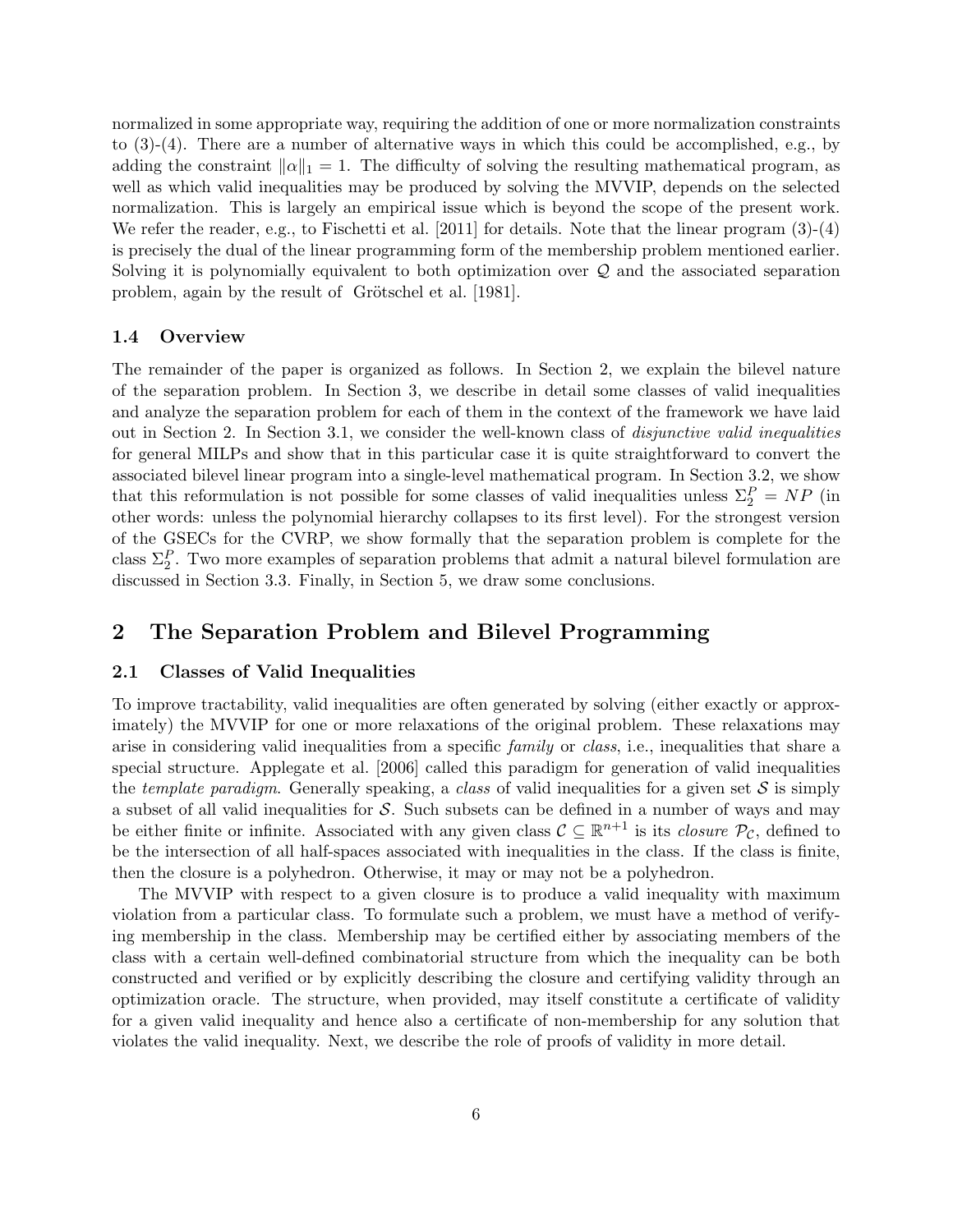normalized in some appropriate way, requiring the addition of one or more normalization constraints to  $(3)-(4)$ . There are a number of alternative ways in which this could be accomplished, e.g., by adding the constraint  $\|\alpha\|_1 = 1$ . The difficulty of solving the resulting mathematical program, as well as which valid inequalities may be produced by solving the MVVIP, depends on the selected normalization. This is largely an empirical issue which is beyond the scope of the present work. We refer the reader, e.g., to Fischetti et al. [2011] for details. Note that the linear program (3)-(4) is precisely the dual of the linear programming form of the membership problem mentioned earlier. Solving it is polynomially equivalent to both optimization over Q and the associated separation problem, again by the result of Grötschel et al. [1981].

#### 1.4 Overview

The remainder of the paper is organized as follows. In Section 2, we explain the bilevel nature of the separation problem. In Section 3, we describe in detail some classes of valid inequalities and analyze the separation problem for each of them in the context of the framework we have laid out in Section 2. In Section 3.1, we consider the well-known class of disjunctive valid inequalities for general MILPs and show that in this particular case it is quite straightforward to convert the associated bilevel linear program into a single-level mathematical program. In Section 3.2, we show that this reformulation is not possible for some classes of valid inequalities unless  $\Sigma_2^P = NP$  (in other words: unless the polynomial hierarchy collapses to its first level). For the strongest version of the GSECs for the CVRP, we show formally that the separation problem is complete for the class  $\Sigma_2^P$ . Two more examples of separation problems that admit a natural bilevel formulation are discussed in Section 3.3. Finally, in Section 5, we draw some conclusions.

# 2 The Separation Problem and Bilevel Programming

#### 2.1 Classes of Valid Inequalities

To improve tractability, valid inequalities are often generated by solving (either exactly or approximately) the MVVIP for one or more relaxations of the original problem. These relaxations may arise in considering valid inequalities from a specific *family* or *class*, i.e., inequalities that share a special structure. Applegate et al. [2006] called this paradigm for generation of valid inequalities the template paradigm. Generally speaking, a class of valid inequalities for a given set  $S$  is simply a subset of all valid inequalities for  $S$ . Such subsets can be defined in a number of ways and may be either finite or infinite. Associated with any given class  $\mathcal{C} \subseteq \mathbb{R}^{n+1}$  is its *closure*  $\mathcal{P}_{\mathcal{C}}$ , defined to be the intersection of all half-spaces associated with inequalities in the class. If the class is finite, then the closure is a polyhedron. Otherwise, it may or may not be a polyhedron.

The MVVIP with respect to a given closure is to produce a valid inequality with maximum violation from a particular class. To formulate such a problem, we must have a method of verifying membership in the class. Membership may be certified either by associating members of the class with a certain well-defined combinatorial structure from which the inequality can be both constructed and verified or by explicitly describing the closure and certifying validity through an optimization oracle. The structure, when provided, may itself constitute a certificate of validity for a given valid inequality and hence also a certificate of non-membership for any solution that violates the valid inequality. Next, we describe the role of proofs of validity in more detail.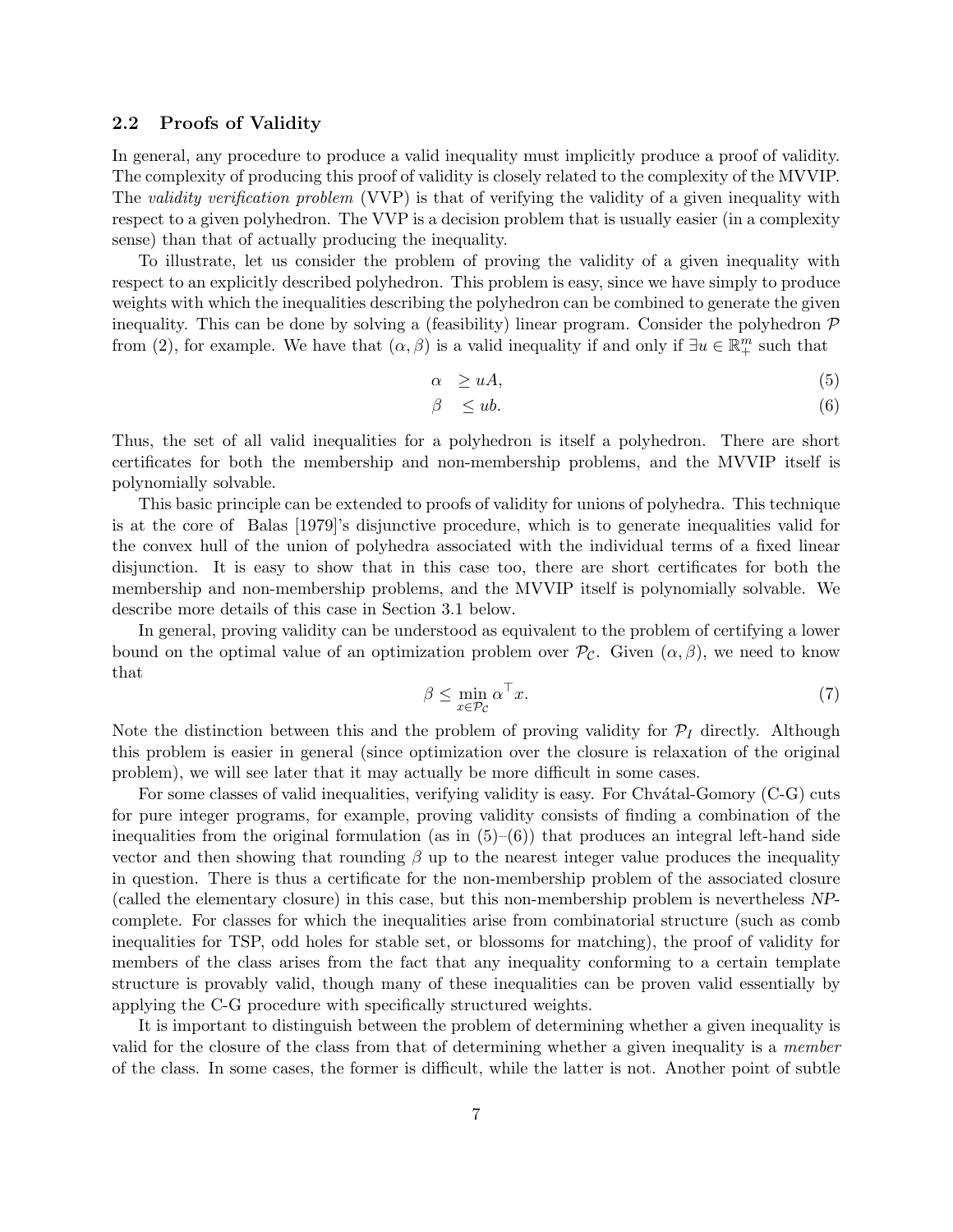#### 2.2 Proofs of Validity

In general, any procedure to produce a valid inequality must implicitly produce a proof of validity. The complexity of producing this proof of validity is closely related to the complexity of the MVVIP. The validity verification problem (VVP) is that of verifying the validity of a given inequality with respect to a given polyhedron. The VVP is a decision problem that is usually easier (in a complexity sense) than that of actually producing the inequality.

To illustrate, let us consider the problem of proving the validity of a given inequality with respect to an explicitly described polyhedron. This problem is easy, since we have simply to produce weights with which the inequalities describing the polyhedron can be combined to generate the given inequality. This can be done by solving a (feasibility) linear program. Consider the polyhedron  $P$ from (2), for example. We have that  $(\alpha, \beta)$  is a valid inequality if and only if  $\exists u \in \mathbb{R}^m_+$  such that

$$
\alpha \ge uA,\tag{5}
$$

$$
\beta \leq ub. \tag{6}
$$

Thus, the set of all valid inequalities for a polyhedron is itself a polyhedron. There are short certificates for both the membership and non-membership problems, and the MVVIP itself is polynomially solvable.

This basic principle can be extended to proofs of validity for unions of polyhedra. This technique is at the core of Balas [1979]'s disjunctive procedure, which is to generate inequalities valid for the convex hull of the union of polyhedra associated with the individual terms of a fixed linear disjunction. It is easy to show that in this case too, there are short certificates for both the membership and non-membership problems, and the MVVIP itself is polynomially solvable. We describe more details of this case in Section 3.1 below.

In general, proving validity can be understood as equivalent to the problem of certifying a lower bound on the optimal value of an optimization problem over  $\mathcal{P}_{\mathcal{C}}$ . Given  $(\alpha, \beta)$ , we need to know that

$$
\beta \le \min_{x \in \mathcal{P}_{\mathcal{C}}} \alpha^{\top} x. \tag{7}
$$

Note the distinction between this and the problem of proving validity for  $\mathcal{P}_I$  directly. Although this problem is easier in general (since optimization over the closure is relaxation of the original problem), we will see later that it may actually be more difficult in some cases.

For some classes of valid inequalities, verifying validity is easy. For Chv $\alpha$ tal-Gomory (C-G) cuts for pure integer programs, for example, proving validity consists of finding a combination of the inequalities from the original formulation (as in  $(5)-(6)$ ) that produces an integral left-hand side vector and then showing that rounding  $\beta$  up to the nearest integer value produces the inequality in question. There is thus a certificate for the non-membership problem of the associated closure (called the elementary closure) in this case, but this non-membership problem is nevertheless NPcomplete. For classes for which the inequalities arise from combinatorial structure (such as comb inequalities for TSP, odd holes for stable set, or blossoms for matching), the proof of validity for members of the class arises from the fact that any inequality conforming to a certain template structure is provably valid, though many of these inequalities can be proven valid essentially by applying the C-G procedure with specifically structured weights.

It is important to distinguish between the problem of determining whether a given inequality is valid for the closure of the class from that of determining whether a given inequality is a member of the class. In some cases, the former is difficult, while the latter is not. Another point of subtle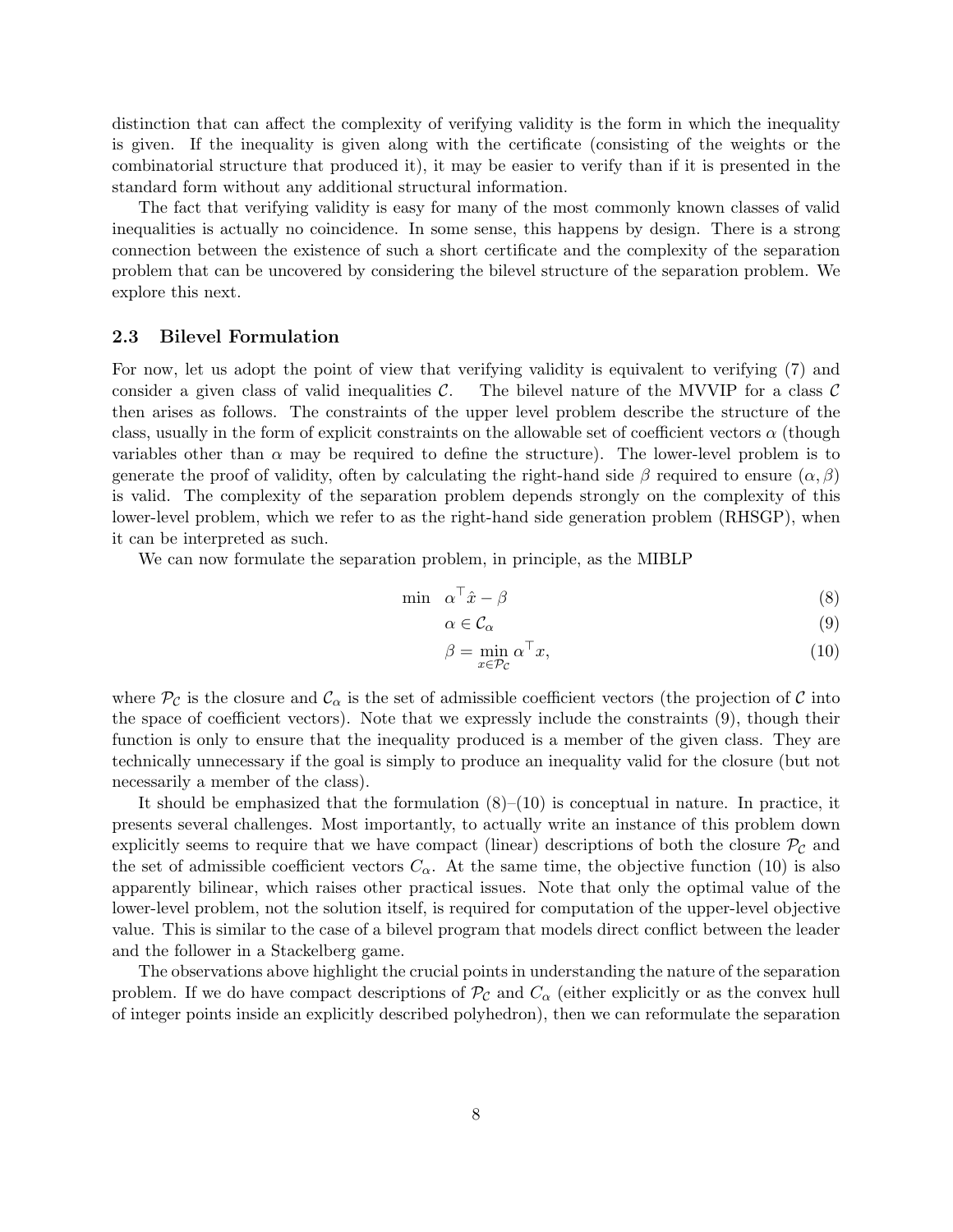distinction that can affect the complexity of verifying validity is the form in which the inequality is given. If the inequality is given along with the certificate (consisting of the weights or the combinatorial structure that produced it), it may be easier to verify than if it is presented in the standard form without any additional structural information.

The fact that verifying validity is easy for many of the most commonly known classes of valid inequalities is actually no coincidence. In some sense, this happens by design. There is a strong connection between the existence of such a short certificate and the complexity of the separation problem that can be uncovered by considering the bilevel structure of the separation problem. We explore this next.

#### 2.3 Bilevel Formulation

For now, let us adopt the point of view that verifying validity is equivalent to verifying (7) and consider a given class of valid inequalities  $\mathcal{C}$ . The bilevel nature of the MVVIP for a class  $\mathcal{C}$ then arises as follows. The constraints of the upper level problem describe the structure of the class, usually in the form of explicit constraints on the allowable set of coefficient vectors  $\alpha$  (though variables other than  $\alpha$  may be required to define the structure). The lower-level problem is to generate the proof of validity, often by calculating the right-hand side  $\beta$  required to ensure  $(\alpha, \beta)$ is valid. The complexity of the separation problem depends strongly on the complexity of this lower-level problem, which we refer to as the right-hand side generation problem (RHSGP), when it can be interpreted as such.

We can now formulate the separation problem, in principle, as the MIBLP

$$
\min \quad \alpha^{\top}\hat{x} - \beta \tag{8}
$$

$$
\alpha \in \mathcal{C}_{\alpha} \tag{9}
$$

$$
\beta = \min_{x \in \mathcal{P}_{\mathcal{C}}} \alpha^{\top} x,\tag{10}
$$

where  $\mathcal{P}_{\mathcal{C}}$  is the closure and  $\mathcal{C}_{\alpha}$  is the set of admissible coefficient vectors (the projection of  $\mathcal{C}$  into the space of coefficient vectors). Note that we expressly include the constraints (9), though their function is only to ensure that the inequality produced is a member of the given class. They are technically unnecessary if the goal is simply to produce an inequality valid for the closure (but not necessarily a member of the class).

It should be emphasized that the formulation (8)–(10) is conceptual in nature. In practice, it presents several challenges. Most importantly, to actually write an instance of this problem down explicitly seems to require that we have compact (linear) descriptions of both the closure  $\mathcal{P}_{\mathcal{C}}$  and the set of admissible coefficient vectors  $C_{\alpha}$ . At the same time, the objective function (10) is also apparently bilinear, which raises other practical issues. Note that only the optimal value of the lower-level problem, not the solution itself, is required for computation of the upper-level objective value. This is similar to the case of a bilevel program that models direct conflict between the leader and the follower in a Stackelberg game.

The observations above highlight the crucial points in understanding the nature of the separation problem. If we do have compact descriptions of  $\mathcal{P}_{\mathcal{C}}$  and  $C_{\alpha}$  (either explicitly or as the convex hull of integer points inside an explicitly described polyhedron), then we can reformulate the separation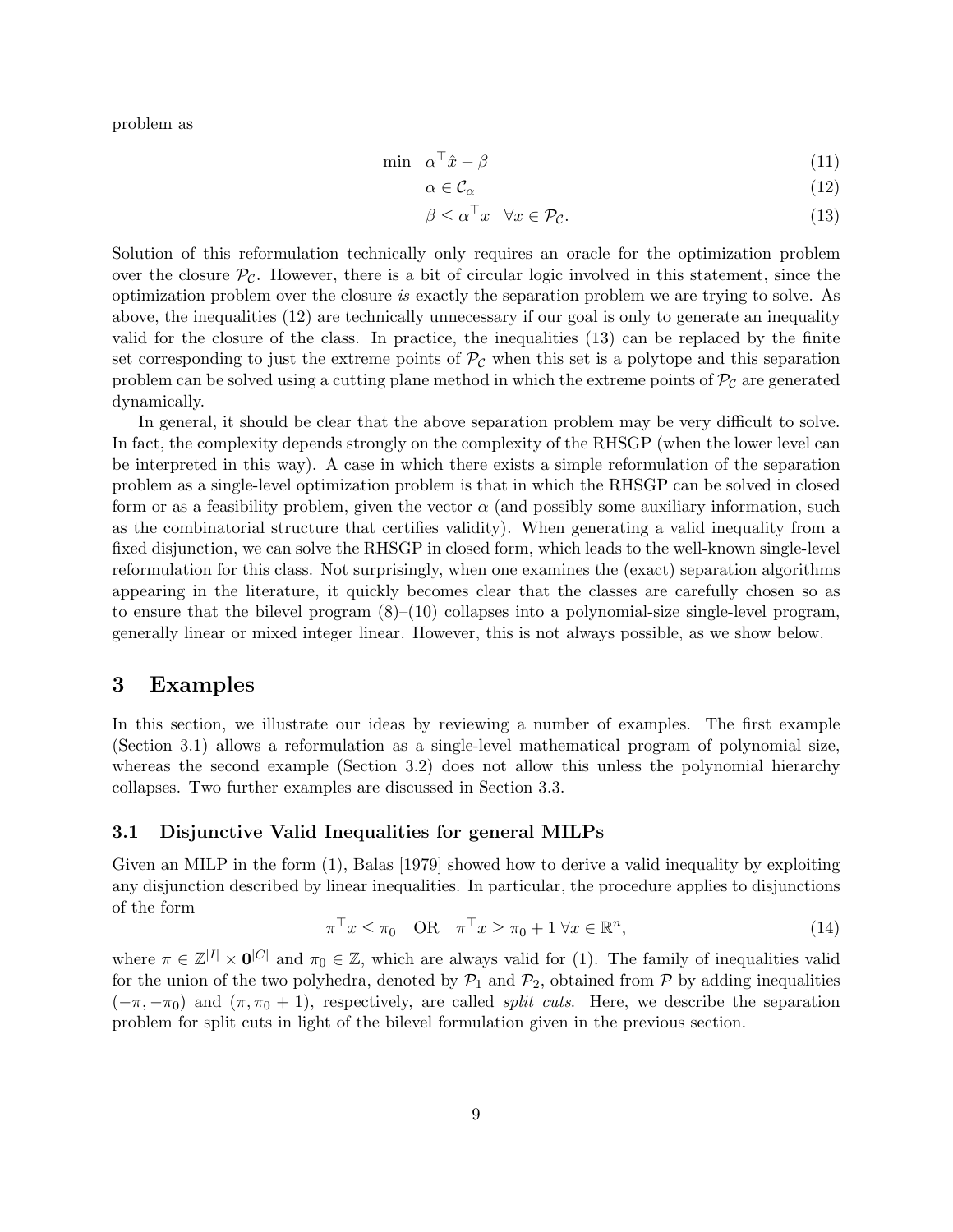problem as

$$
\min \quad \alpha^{\top}\hat{x} - \beta \tag{11}
$$

$$
\alpha \in \mathcal{C}_{\alpha} \tag{12}
$$

$$
\beta \le \alpha^{\top} x \quad \forall x \in \mathcal{P}_{\mathcal{C}}.\tag{13}
$$

Solution of this reformulation technically only requires an oracle for the optimization problem over the closure  $\mathcal{P}_{\mathcal{C}}$ . However, there is a bit of circular logic involved in this statement, since the optimization problem over the closure is exactly the separation problem we are trying to solve. As above, the inequalities (12) are technically unnecessary if our goal is only to generate an inequality valid for the closure of the class. In practice, the inequalities (13) can be replaced by the finite set corresponding to just the extreme points of  $P_{\mathcal{C}}$  when this set is a polytope and this separation problem can be solved using a cutting plane method in which the extreme points of  $\mathcal{P}_{\mathcal{C}}$  are generated dynamically.

In general, it should be clear that the above separation problem may be very difficult to solve. In fact, the complexity depends strongly on the complexity of the RHSGP (when the lower level can be interpreted in this way). A case in which there exists a simple reformulation of the separation problem as a single-level optimization problem is that in which the RHSGP can be solved in closed form or as a feasibility problem, given the vector  $\alpha$  (and possibly some auxiliary information, such as the combinatorial structure that certifies validity). When generating a valid inequality from a fixed disjunction, we can solve the RHSGP in closed form, which leads to the well-known single-level reformulation for this class. Not surprisingly, when one examines the (exact) separation algorithms appearing in the literature, it quickly becomes clear that the classes are carefully chosen so as to ensure that the bilevel program  $(8)$ – $(10)$  collapses into a polynomial-size single-level program, generally linear or mixed integer linear. However, this is not always possible, as we show below.

### 3 Examples

In this section, we illustrate our ideas by reviewing a number of examples. The first example (Section 3.1) allows a reformulation as a single-level mathematical program of polynomial size, whereas the second example (Section 3.2) does not allow this unless the polynomial hierarchy collapses. Two further examples are discussed in Section 3.3.

#### 3.1 Disjunctive Valid Inequalities for general MILPs

Given an MILP in the form (1), Balas [1979] showed how to derive a valid inequality by exploiting any disjunction described by linear inequalities. In particular, the procedure applies to disjunctions of the form

$$
\pi^{\top} x \le \pi_0 \quad \text{OR} \quad \pi^{\top} x \ge \pi_0 + 1 \,\forall x \in \mathbb{R}^n,\tag{14}
$$

where  $\pi \in \mathbb{Z}^{|I|} \times \mathbf{0}^{|C|}$  and  $\pi_0 \in \mathbb{Z}$ , which are always valid for (1). The family of inequalities valid for the union of the two polyhedra, denoted by  $\mathcal{P}_1$  and  $\mathcal{P}_2$ , obtained from  $\mathcal P$  by adding inequalities  $(-\pi, -\pi_0)$  and  $(\pi, \pi_0 + 1)$ , respectively, are called *split cuts*. Here, we describe the separation problem for split cuts in light of the bilevel formulation given in the previous section.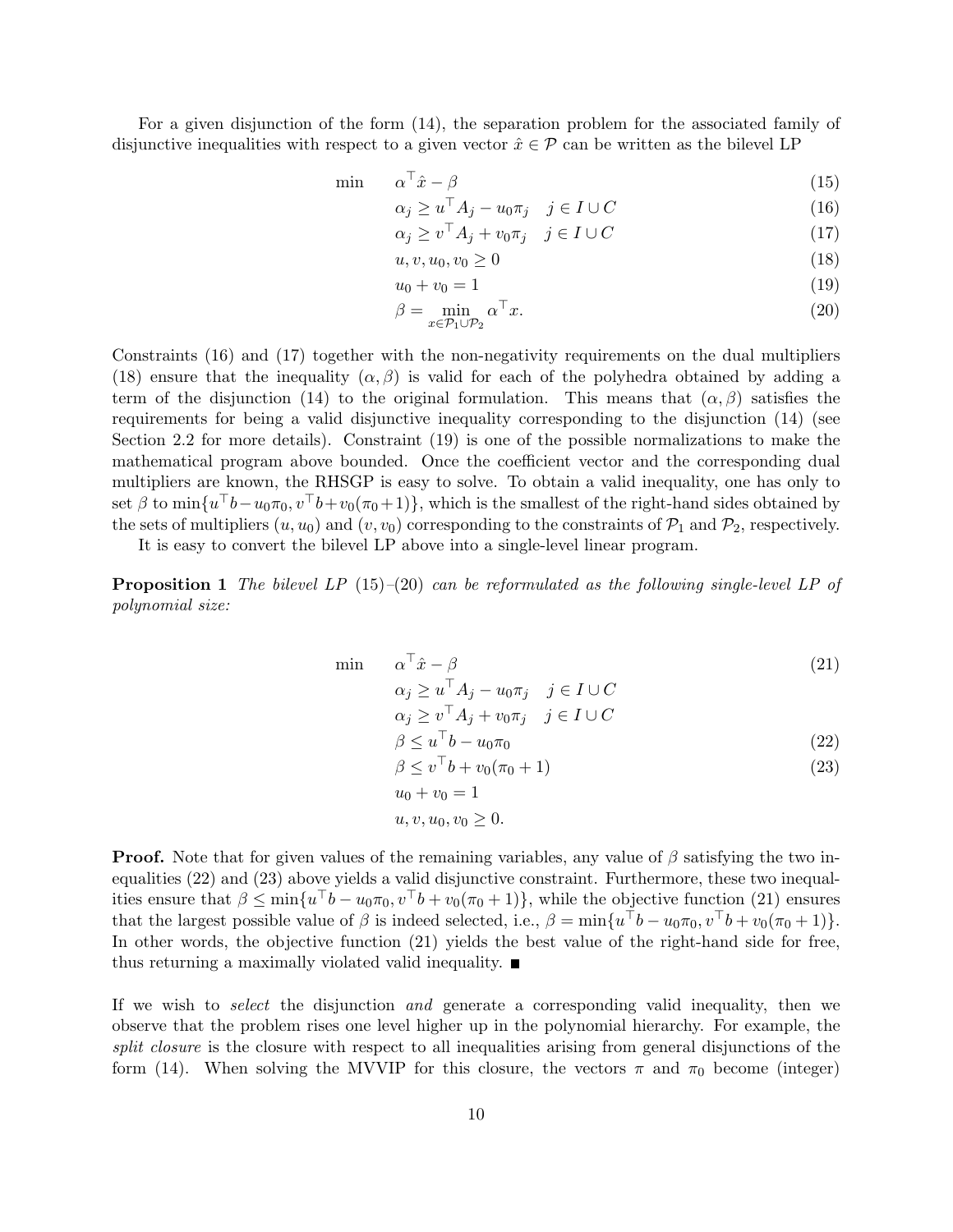For a given disjunction of the form (14), the separation problem for the associated family of disjunctive inequalities with respect to a given vector  $\hat{x} \in \mathcal{P}$  can be written as the bilevel LP

$$
\min \qquad \alpha^{\top}\hat{x} - \beta \tag{15}
$$

$$
\alpha_j \ge u^\top A_j - u_0 \pi_j \quad j \in I \cup C \tag{16}
$$

$$
\alpha_j \ge v^\top A_j + v_0 \pi_j \quad j \in I \cup C \tag{17}
$$

$$
u, v, u_0, v_0 \ge 0 \tag{18}
$$

$$
u_0 + v_0 = 1 \tag{19}
$$

$$
\beta = \min_{x \in \mathcal{P}_1 \cup \mathcal{P}_2} \alpha^{\top} x. \tag{20}
$$

Constraints (16) and (17) together with the non-negativity requirements on the dual multipliers (18) ensure that the inequality  $(\alpha, \beta)$  is valid for each of the polyhedra obtained by adding a term of the disjunction (14) to the original formulation. This means that  $(\alpha, \beta)$  satisfies the requirements for being a valid disjunctive inequality corresponding to the disjunction (14) (see Section 2.2 for more details). Constraint (19) is one of the possible normalizations to make the mathematical program above bounded. Once the coefficient vector and the corresponding dual multipliers are known, the RHSGP is easy to solve. To obtain a valid inequality, one has only to set  $\beta$  to  $\min\{u^{\top}b-u_0\pi_0, v^{\top}b+v_0(\pi_0+1)\}\$ , which is the smallest of the right-hand sides obtained by the sets of multipliers  $(u, u_0)$  and  $(v, v_0)$  corresponding to the constraints of  $\mathcal{P}_1$  and  $\mathcal{P}_2$ , respectively.

It is easy to convert the bilevel LP above into a single-level linear program.

**Proposition 1** The bilevel LP  $(15)$ – $(20)$  can be reformulated as the following single-level LP of polynomial size:

$$
\begin{array}{ll}\n\min & \alpha^{\top}\hat{x} - \beta \\
\alpha_j \ge u^{\top}A_j - u_0\pi_j & j \in I \cup C\n\end{array} \tag{21}
$$

$$
\alpha_j \ge v^\top A_j + v_0 \pi_j \quad j \in I \cup C
$$

$$
\beta \le u^{\top}b - u_0\pi_0\tag{22}
$$

$$
\beta \le v^\top b + v_0(\pi_0 + 1) \tag{23}
$$

$$
u, v, u_0, v_0 \ge 0.
$$

 $u_0 + v_0 = 1$ 

**Proof.** Note that for given values of the remaining variables, any value of  $\beta$  satisfying the two inequalities (22) and (23) above yields a valid disjunctive constraint. Furthermore, these two inequalities ensure that  $\beta \le \min\{u^\top b - u_0\pi_0, v^\top b + v_0(\pi_0 + 1)\}\)$ , while the objective function (21) ensures that the largest possible value of  $\beta$  is indeed selected, i.e.,  $\beta = \min\{u^\top b - u_0\pi_0, v^\top b + v_0(\pi_0 + 1)\}.$ In other words, the objective function (21) yields the best value of the right-hand side for free, thus returning a maximally violated valid inequality.  $\blacksquare$ 

If we wish to select the disjunction and generate a corresponding valid inequality, then we observe that the problem rises one level higher up in the polynomial hierarchy. For example, the split closure is the closure with respect to all inequalities arising from general disjunctions of the form (14). When solving the MVVIP for this closure, the vectors  $\pi$  and  $\pi_0$  become (integer)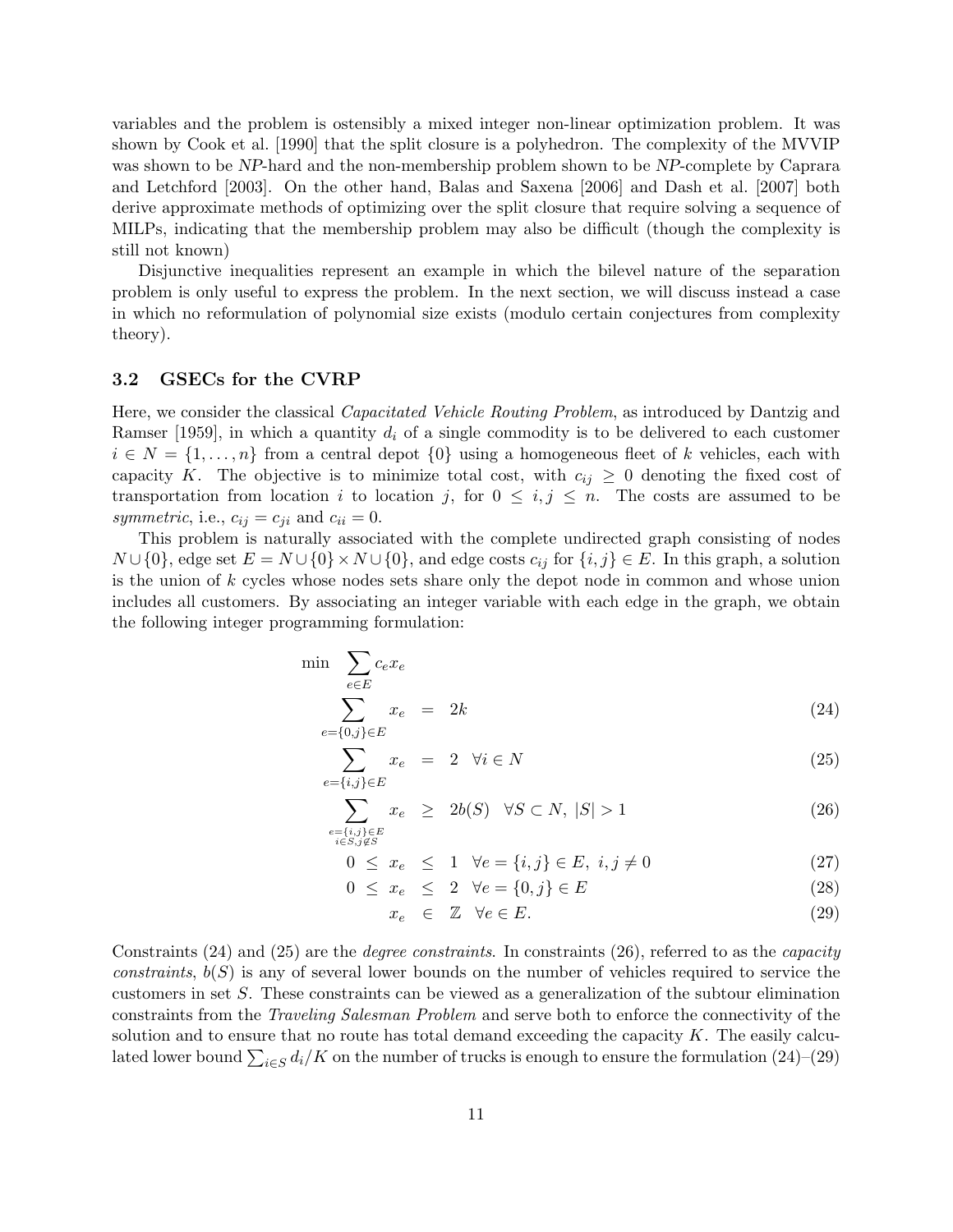variables and the problem is ostensibly a mixed integer non-linear optimization problem. It was shown by Cook et al. [1990] that the split closure is a polyhedron. The complexity of the MVVIP was shown to be NP-hard and the non-membership problem shown to be NP-complete by Caprara and Letchford [2003]. On the other hand, Balas and Saxena [2006] and Dash et al. [2007] both derive approximate methods of optimizing over the split closure that require solving a sequence of MILPs, indicating that the membership problem may also be difficult (though the complexity is still not known)

Disjunctive inequalities represent an example in which the bilevel nature of the separation problem is only useful to express the problem. In the next section, we will discuss instead a case in which no reformulation of polynomial size exists (modulo certain conjectures from complexity theory).

#### 3.2 GSECs for the CVRP

Here, we consider the classical Capacitated Vehicle Routing Problem, as introduced by Dantzig and Ramser [1959], in which a quantity  $d_i$  of a single commodity is to be delivered to each customer  $i \in N = \{1, \ldots, n\}$  from a central depot  $\{0\}$  using a homogeneous fleet of k vehicles, each with capacity K. The objective is to minimize total cost, with  $c_{ij} \geq 0$  denoting the fixed cost of transportation from location i to location j, for  $0 \leq i, j \leq n$ . The costs are assumed to be symmetric, i.e.,  $c_{ij} = c_{ji}$  and  $c_{ii} = 0$ .

This problem is naturally associated with the complete undirected graph consisting of nodes  $N \cup \{0\}$ , edge set  $E = N \cup \{0\} \times N \cup \{0\}$ , and edge costs  $c_{ij}$  for  $\{i, j\} \in E$ . In this graph, a solution is the union of k cycles whose nodes sets share only the depot node in common and whose union includes all customers. By associating an integer variable with each edge in the graph, we obtain the following integer programming formulation:

$$
\min \sum_{e \in E} c_e x_e
$$
\n
$$
\sum_{e = \{0, j\} \in E} x_e = 2k \tag{24}
$$

$$
\sum_{e=\{i,j\}\in E} x_e = 2 \quad \forall i \in N \tag{25}
$$

$$
\sum_{\substack{e=\{i,j\}\in E\\i\in S, j\notin S}} x_e \ge 2b(S) \quad \forall S \subset N, \ |S| > 1 \tag{26}
$$

$$
0 \le x_e \le 1 \quad \forall e = \{i, j\} \in E, \ i, j \ne 0 \tag{27}
$$

$$
0 \le x_e \le 2 \quad \forall e = \{0, j\} \in E \tag{28}
$$

$$
x_e \in \mathbb{Z} \quad \forall e \in E. \tag{29}
$$

Constraints  $(24)$  and  $(25)$  are the *degree constraints*. In constraints  $(26)$ , referred to as the *capacity* constraints,  $b(S)$  is any of several lower bounds on the number of vehicles required to service the customers in set S. These constraints can be viewed as a generalization of the subtour elimination constraints from the Traveling Salesman Problem and serve both to enforce the connectivity of the solution and to ensure that no route has total demand exceeding the capacity  $K$ . The easily calculated lower bound  $\sum_{i \in S} d_i/K$  on the number of trucks is enough to ensure the formulation (24)–(29)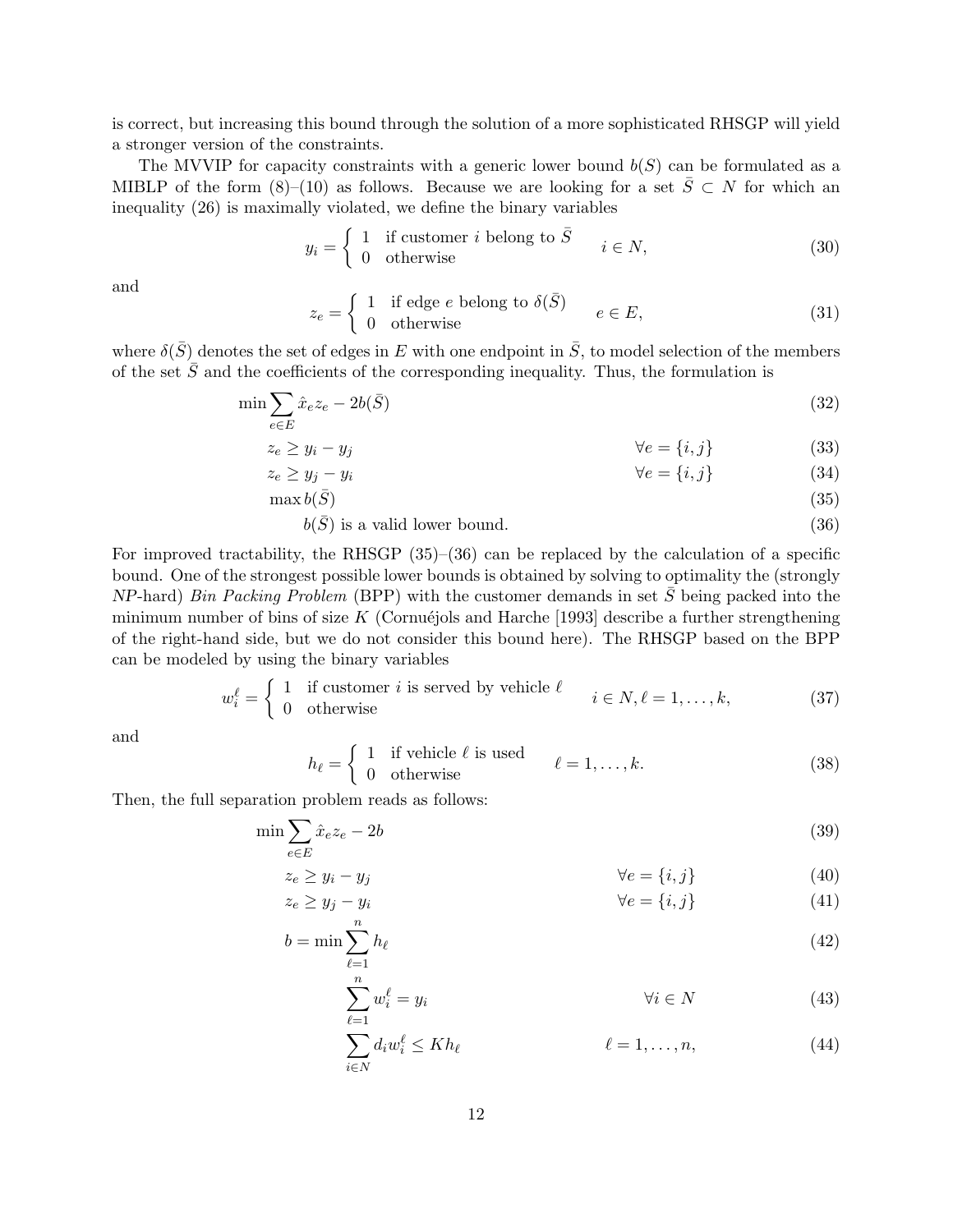is correct, but increasing this bound through the solution of a more sophisticated RHSGP will yield a stronger version of the constraints.

The MVVIP for capacity constraints with a generic lower bound  $b(S)$  can be formulated as a MIBLP of the form (8)–(10) as follows. Because we are looking for a set  $\overline{S} \subset N$  for which an inequality (26) is maximally violated, we define the binary variables

$$
y_i = \begin{cases} 1 & \text{if customer } i \text{ belong to } \bar{S} \\ 0 & \text{otherwise} \end{cases} \quad i \in N,
$$
 (30)

and

$$
z_e = \begin{cases} 1 & \text{if edge } e \text{ belong to } \delta(\bar{S}) \\ 0 & \text{otherwise} \end{cases} \qquad e \in E,
$$
 (31)

where  $\delta(\bar{S})$  denotes the set of edges in E with one endpoint in  $\bar{S}$ , to model selection of the members of the set  $\overline{S}$  and the coefficients of the corresponding inequality. Thus, the formulation is

$$
\min \sum_{e \in E} \hat{x}_e z_e - 2b(\bar{S})\tag{32}
$$

$$
z_e \ge y_i - y_j \qquad \qquad \forall e = \{i, j\} \tag{33}
$$

$$
z_e \ge y_j - y_i \qquad \qquad \forall e = \{i, j\} \tag{34}
$$

$$
\max b(\bar{S})\tag{35}
$$

 $b(\bar{S})$  is a valid lower bound. (36)

For improved tractability, the RHSGP (35)–(36) can be replaced by the calculation of a specific bound. One of the strongest possible lower bounds is obtained by solving to optimality the (strongly  $NP$ -hard) Bin Packing Problem (BPP) with the customer demands in set S being packed into the minimum number of bins of size K (Cornuéjols and Harche [1993] describe a further strengthening of the right-hand side, but we do not consider this bound here). The RHSGP based on the BPP can be modeled by using the binary variables

$$
w_i^{\ell} = \begin{cases} 1 & \text{if customer } i \text{ is served by vehicle } \ell \\ 0 & \text{otherwise} \end{cases} \quad i \in N, \ell = 1, \dots, k,
$$
 (37)

and

$$
h_{\ell} = \begin{cases} 1 & \text{if vehicle } \ell \text{ is used} \\ 0 & \text{otherwise} \end{cases} \qquad \ell = 1, \dots, k. \tag{38}
$$

Then, the full separation problem reads as follows:

$$
\min \sum_{e \in E} \hat{x}_e z_e - 2b \tag{39}
$$

$$
z_e \ge y_i - y_j \qquad \qquad \forall e = \{i, j\} \tag{40}
$$

$$
z_e \ge y_j - y_i \qquad \qquad \forall e = \{i, j\} \tag{41}
$$

$$
b = \min \sum_{\ell=1}^{n} h_{\ell} \tag{42}
$$

$$
\sum_{\ell=1}^{n} w_i^{\ell} = y_i \qquad \qquad \forall i \in N \tag{43}
$$

$$
\sum_{i \in N} d_i w_i^{\ell} \le Kh_{\ell} \qquad \qquad \ell = 1, \dots, n,
$$
\n(44)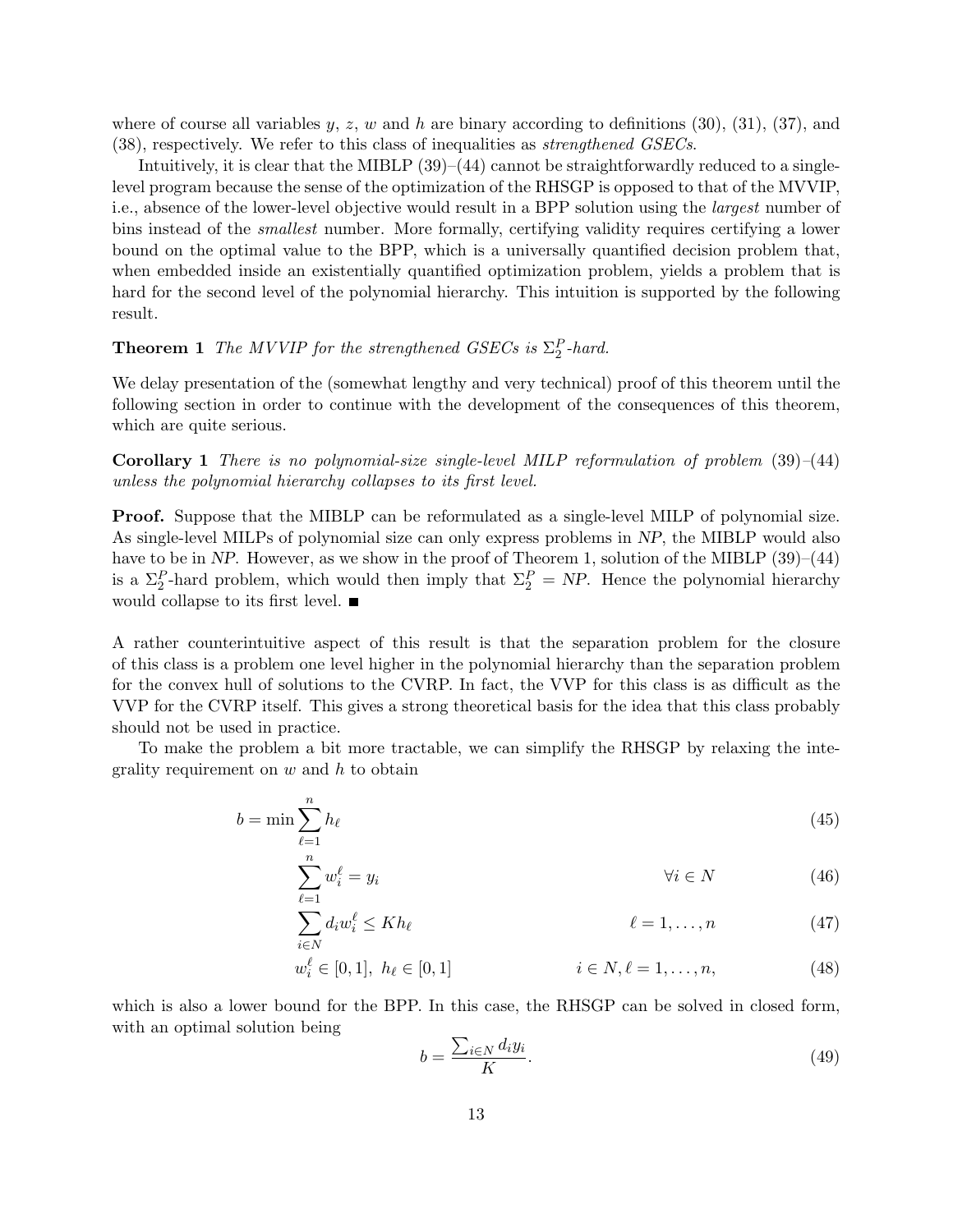where of course all variables y, z, w and h are binary according to definitions  $(30)$ ,  $(31)$ ,  $(37)$ , and (38), respectively. We refer to this class of inequalities as strengthened GSECs.

Intuitively, it is clear that the MIBLP  $(39)–(44)$  cannot be straightforwardly reduced to a singlelevel program because the sense of the optimization of the RHSGP is opposed to that of the MVVIP, i.e., absence of the lower-level objective would result in a BPP solution using the largest number of bins instead of the *smallest* number. More formally, certifying validity requires certifying a lower bound on the optimal value to the BPP, which is a universally quantified decision problem that, when embedded inside an existentially quantified optimization problem, yields a problem that is hard for the second level of the polynomial hierarchy. This intuition is supported by the following result.

# **Theorem 1** The MVVIP for the strengthened GSECs is  $\Sigma_2^P$ -hard.

We delay presentation of the (somewhat lengthy and very technical) proof of this theorem until the following section in order to continue with the development of the consequences of this theorem, which are quite serious.

**Corollary 1** There is no polynomial-size single-level MILP reformulation of problem  $(39)–(44)$ unless the polynomial hierarchy collapses to its first level.

Proof. Suppose that the MIBLP can be reformulated as a single-level MILP of polynomial size. As single-level MILPs of polynomial size can only express problems in NP, the MIBLP would also have to be in NP. However, as we show in the proof of Theorem 1, solution of the MIBLP  $(39)–(44)$ is a  $\Sigma_2^P$ -hard problem, which would then imply that  $\Sigma_2^P = NP$ . Hence the polynomial hierarchy would collapse to its first level.

A rather counterintuitive aspect of this result is that the separation problem for the closure of this class is a problem one level higher in the polynomial hierarchy than the separation problem for the convex hull of solutions to the CVRP. In fact, the VVP for this class is as difficult as the VVP for the CVRP itself. This gives a strong theoretical basis for the idea that this class probably should not be used in practice.

To make the problem a bit more tractable, we can simplify the RHSGP by relaxing the integrality requirement on  $w$  and  $h$  to obtain

$$
b = \min \sum_{\ell=1}^{n} h_{\ell} \tag{45}
$$

$$
\sum_{\ell=1}^{n} w_i^{\ell} = y_i \qquad \qquad \forall i \in N \tag{46}
$$

$$
\sum_{i \in N} d_i w_i^{\ell} \le Kh_{\ell} \qquad \ell = 1, \dots, n \qquad (47)
$$

$$
w_i^{\ell} \in [0, 1], \ h_{\ell} \in [0, 1] \qquad \qquad i \in N, \ell = 1, \dots, n,
$$
\n
$$
(48)
$$

which is also a lower bound for the BPP. In this case, the RHSGP can be solved in closed form, with an optimal solution being

$$
b = \frac{\sum_{i \in N} d_i y_i}{K}.
$$
\n(49)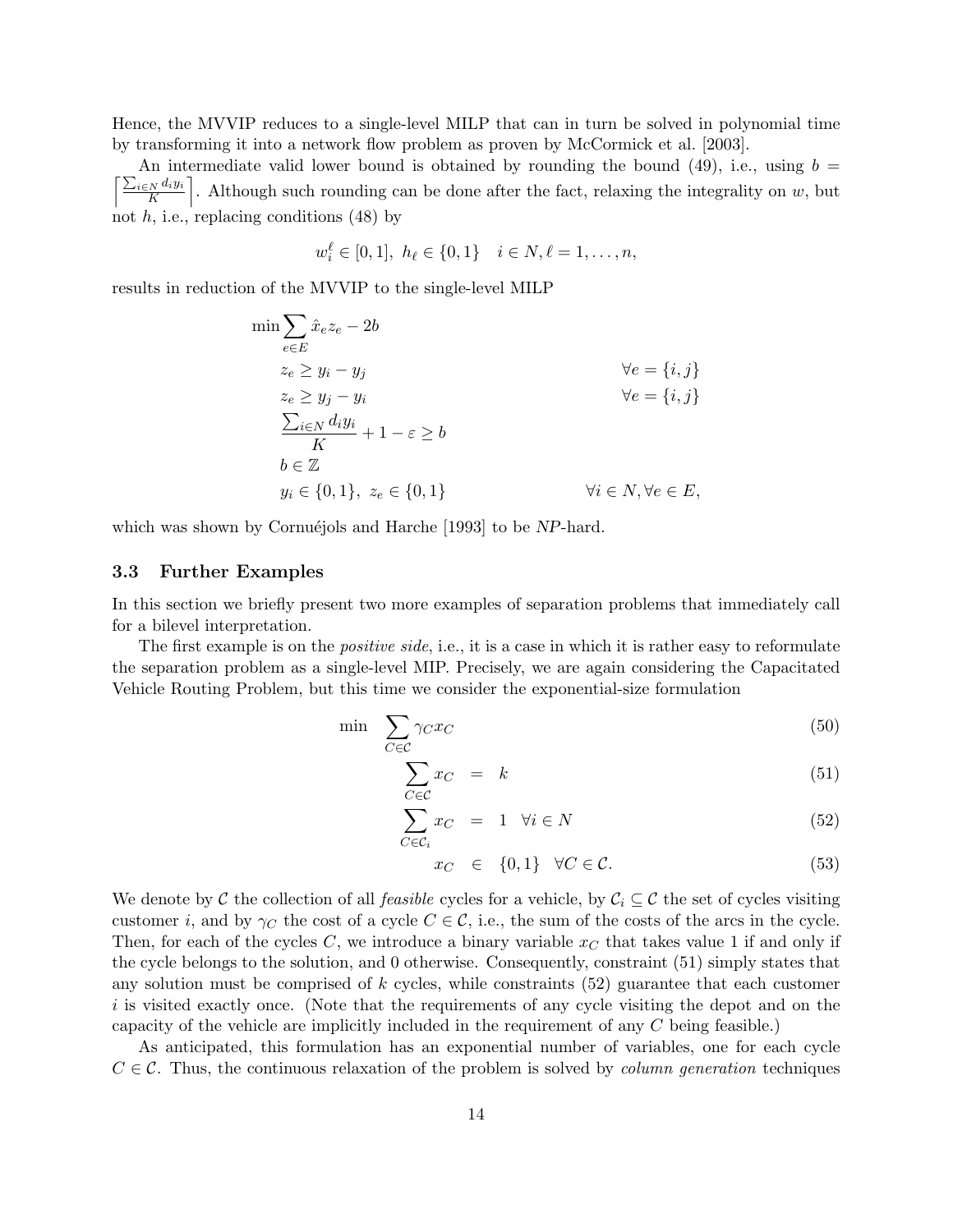Hence, the MVVIP reduces to a single-level MILP that can in turn be solved in polynomial time by transforming it into a network flow problem as proven by McCormick et al. [2003].

 $\int \sum_{i\in N} d_i y_i$ An intermediate valid lower bound is obtained by rounding the bound  $(49)$ , i.e., using  $b =$  $\frac{N^{d_i y_i}}{K}$ . Although such rounding can be done after the fact, relaxing the integrality on w, but not  $h$ , i.e., replacing conditions  $(48)$  by

$$
w_i^{\ell} \in [0,1], h_{\ell} \in \{0,1\} \quad i \in N, \ell = 1,\ldots,n,
$$

results in reduction of the MVVIP to the single-level MILP

$$
\min \sum_{e \in E} \hat{x}_e z_e - 2b
$$
\n
$$
z_e \ge y_i - y_j \qquad \forall e = \{i, j\}
$$
\n
$$
z_e \ge y_j - y_i \qquad \forall e = \{i, j\}
$$
\n
$$
\frac{\sum_{i \in N} d_i y_i}{K} + 1 - \varepsilon \ge b
$$
\n
$$
b \in \mathbb{Z}
$$
\n
$$
y_i \in \{0, 1\}, z_e \in \{0, 1\}
$$
\n
$$
\forall i \in N, \forall e \in E,
$$

which was shown by Cornuéjols and Harche [1993] to be NP-hard.

#### 3.3 Further Examples

In this section we briefly present two more examples of separation problems that immediately call for a bilevel interpretation.

The first example is on the *positive side*, i.e., it is a case in which it is rather easy to reformulate the separation problem as a single-level MIP. Precisely, we are again considering the Capacitated Vehicle Routing Problem, but this time we consider the exponential-size formulation

$$
\min \sum_{C \in \mathcal{C}} \gamma_C x_C \tag{50}
$$

$$
\sum_{C \in \mathcal{C}} x_C = k \tag{51}
$$

$$
\sum_{C \in \mathcal{C}_i} x_C = 1 \quad \forall i \in N \tag{52}
$$

$$
x_C \in \{0, 1\} \quad \forall C \in \mathcal{C}.\tag{53}
$$

We denote by C the collection of all *feasible* cycles for a vehicle, by  $C_i \subseteq \mathcal{C}$  the set of cycles visiting customer i, and by  $\gamma_C$  the cost of a cycle  $C \in \mathcal{C}$ , i.e., the sum of the costs of the arcs in the cycle. Then, for each of the cycles C, we introduce a binary variable  $x_C$  that takes value 1 if and only if the cycle belongs to the solution, and 0 otherwise. Consequently, constraint (51) simply states that any solution must be comprised of  $k$  cycles, while constraints  $(52)$  guarantee that each customer i is visited exactly once. (Note that the requirements of any cycle visiting the depot and on the capacity of the vehicle are implicitly included in the requirement of any C being feasible.)

As anticipated, this formulation has an exponential number of variables, one for each cycle  $C \in \mathcal{C}$ . Thus, the continuous relaxation of the problem is solved by *column generation* techniques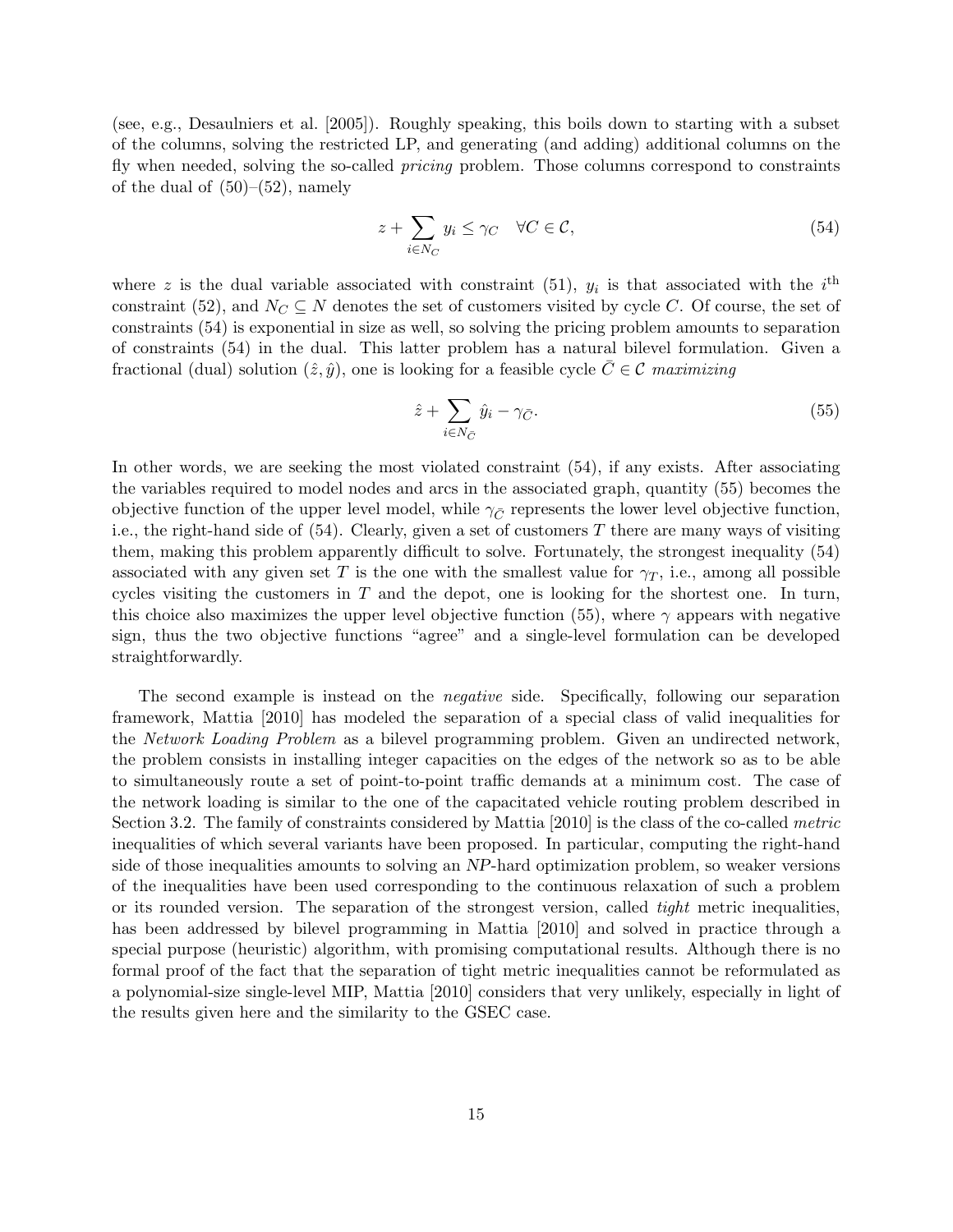(see, e.g., Desaulniers et al. [2005]). Roughly speaking, this boils down to starting with a subset of the columns, solving the restricted LP, and generating (and adding) additional columns on the fly when needed, solving the so-called *pricing* problem. Those columns correspond to constraints of the dual of  $(50)$ – $(52)$ , namely

$$
z + \sum_{i \in N_C} y_i \le \gamma_C \quad \forall C \in \mathcal{C},\tag{54}
$$

where z is the dual variable associated with constraint (51),  $y_i$  is that associated with the  $i^{\text{th}}$ constraint (52), and  $N_C \subseteq N$  denotes the set of customers visited by cycle C. Of course, the set of constraints (54) is exponential in size as well, so solving the pricing problem amounts to separation of constraints (54) in the dual. This latter problem has a natural bilevel formulation. Given a fractional (dual) solution  $(\hat{z}, \hat{y})$ , one is looking for a feasible cycle  $\bar{C} \in \mathcal{C}$  maximizing

$$
\hat{z} + \sum_{i \in N_{\bar{C}}} \hat{y}_i - \gamma_{\bar{C}}.\tag{55}
$$

In other words, we are seeking the most violated constraint (54), if any exists. After associating the variables required to model nodes and arcs in the associated graph, quantity (55) becomes the objective function of the upper level model, while  $\gamma_{\bar{C}}$  represents the lower level objective function, i.e., the right-hand side of  $(54)$ . Clearly, given a set of customers T there are many ways of visiting them, making this problem apparently difficult to solve. Fortunately, the strongest inequality (54) associated with any given set T is the one with the smallest value for  $\gamma_T$ , i.e., among all possible cycles visiting the customers in  $T$  and the depot, one is looking for the shortest one. In turn, this choice also maximizes the upper level objective function (55), where  $\gamma$  appears with negative sign, thus the two objective functions "agree" and a single-level formulation can be developed straightforwardly.

The second example is instead on the negative side. Specifically, following our separation framework, Mattia [2010] has modeled the separation of a special class of valid inequalities for the Network Loading Problem as a bilevel programming problem. Given an undirected network, the problem consists in installing integer capacities on the edges of the network so as to be able to simultaneously route a set of point-to-point traffic demands at a minimum cost. The case of the network loading is similar to the one of the capacitated vehicle routing problem described in Section 3.2. The family of constraints considered by Mattia [2010] is the class of the co-called metric inequalities of which several variants have been proposed. In particular, computing the right-hand side of those inequalities amounts to solving an NP-hard optimization problem, so weaker versions of the inequalities have been used corresponding to the continuous relaxation of such a problem or its rounded version. The separation of the strongest version, called tight metric inequalities, has been addressed by bilevel programming in Mattia [2010] and solved in practice through a special purpose (heuristic) algorithm, with promising computational results. Although there is no formal proof of the fact that the separation of tight metric inequalities cannot be reformulated as a polynomial-size single-level MIP, Mattia [2010] considers that very unlikely, especially in light of the results given here and the similarity to the GSEC case.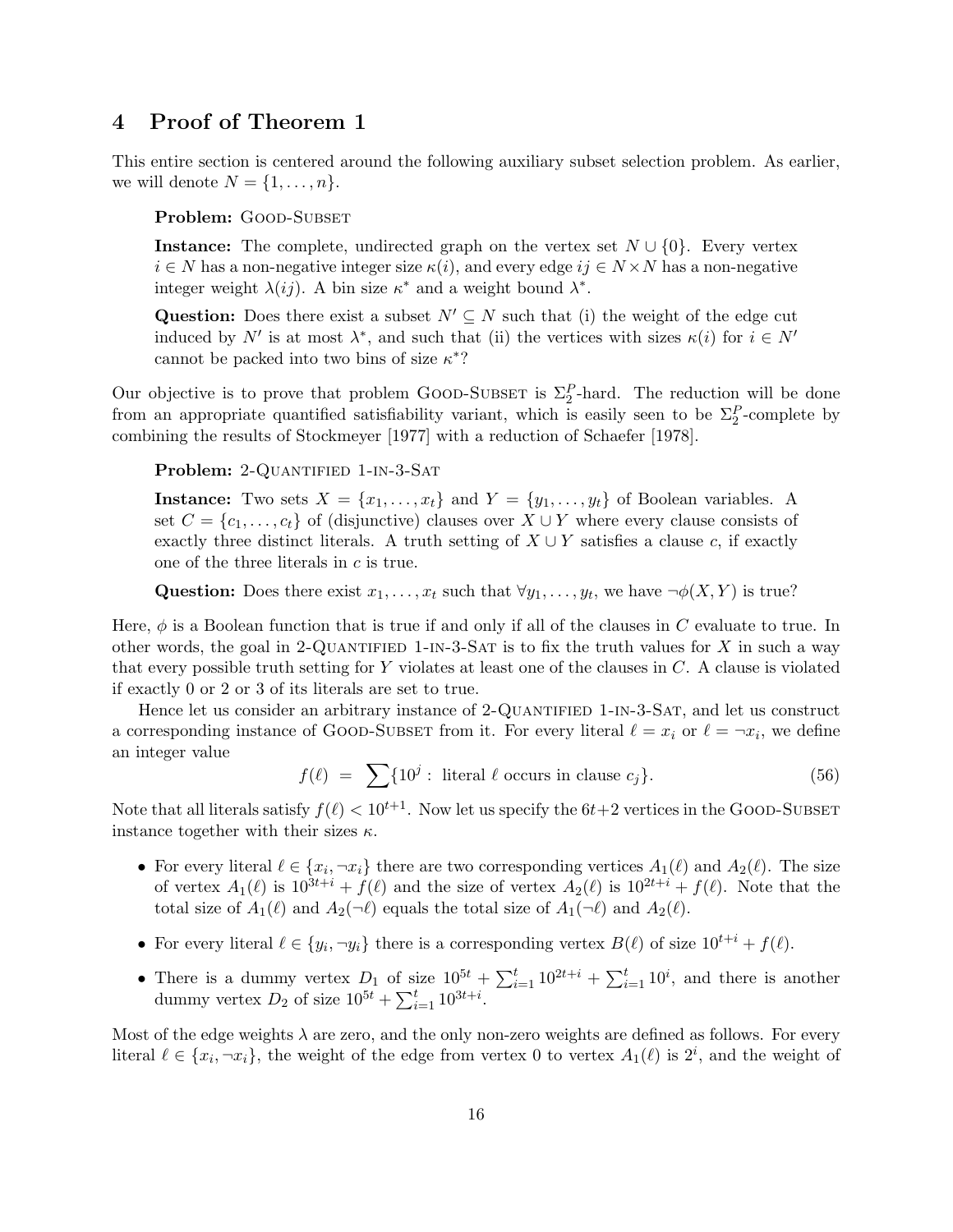# 4 Proof of Theorem 1

This entire section is centered around the following auxiliary subset selection problem. As earlier, we will denote  $N = \{1, \ldots, n\}.$ 

Problem: GOOD-SUBSET

**Instance:** The complete, undirected graph on the vertex set  $N \cup \{0\}$ . Every vertex  $i \in N$  has a non-negative integer size  $\kappa(i)$ , and every edge  $ij \in N \times N$  has a non-negative integer weight  $\lambda(ij)$ . A bin size  $\kappa^*$  and a weight bound  $\lambda^*$ .

Question: Does there exist a subset  $N' \subseteq N$  such that (i) the weight of the edge cut induced by N' is at most  $\lambda^*$ , and such that (ii) the vertices with sizes  $\kappa(i)$  for  $i \in N'$ cannot be packed into two bins of size  $\kappa^*$ ?

Our objective is to prove that problem GOOD-SUBSET is  $\Sigma_2^P$ -hard. The reduction will be done from an appropriate quantified satisfiability variant, which is easily seen to be  $\Sigma_2^P$ -complete by combining the results of Stockmeyer [1977] with a reduction of Schaefer [1978].

Problem: 2-QUANTIFIED 1-IN-3-SAT

**Instance:** Two sets  $X = \{x_1, \ldots, x_t\}$  and  $Y = \{y_1, \ldots, y_t\}$  of Boolean variables. A set  $C = \{c_1, \ldots, c_t\}$  of (disjunctive) clauses over  $X \cup Y$  where every clause consists of exactly three distinct literals. A truth setting of  $X \cup Y$  satisfies a clause c, if exactly one of the three literals in c is true.

Question: Does there exist  $x_1, \ldots, x_t$  such that  $\forall y_1, \ldots, y_t$ , we have  $\neg \phi(X, Y)$  is true?

Here,  $\phi$  is a Boolean function that is true if and only if all of the clauses in C evaluate to true. In other words, the goal in 2-QUANTIFIED 1-IN-3-SAT is to fix the truth values for  $X$  in such a way that every possible truth setting for Y violates at least one of the clauses in C. A clause is violated if exactly 0 or 2 or 3 of its literals are set to true.

Hence let us consider an arbitrary instance of 2-QUANTIFIED 1-IN-3-SAT, and let us construct a corresponding instance of GOOD-SUBSET from it. For every literal  $\ell = x_i$  or  $\ell = \neg x_i$ , we define an integer value

$$
f(\ell) = \sum \{10^j : \text{ literal } \ell \text{ occurs in clause } c_j\}. \tag{56}
$$

Note that all literals satisfy  $f(\ell) < 10^{t+1}$ . Now let us specify the  $6t+2$  vertices in the GOOD-SUBSET instance together with their sizes  $\kappa$ .

- For every literal  $\ell \in \{x_i, \neg x_i\}$  there are two corresponding vertices  $A_1(\ell)$  and  $A_2(\ell)$ . The size of vertex  $A_1(\ell)$  is  $10^{3t+i} + f(\ell)$  and the size of vertex  $A_2(\ell)$  is  $10^{2t+i} + f(\ell)$ . Note that the total size of  $A_1(\ell)$  and  $A_2(\neg \ell)$  equals the total size of  $A_1(\neg \ell)$  and  $A_2(\ell)$ .
- For every literal  $\ell \in \{y_i, \neg y_i\}$  there is a corresponding vertex  $B(\ell)$  of size  $10^{t+i} + f(\ell)$ .
- There is a dummy vertex  $D_1$  of size  $10^{5t} + \sum_{i=1}^{t} 10^{2t+i} + \sum_{i=1}^{t} 10^i$ , and there is another dummy vertex  $D_2$  of size  $10^{5t} + \sum_{i=1}^{t} 10^{3t+i}$ .

Most of the edge weights  $\lambda$  are zero, and the only non-zero weights are defined as follows. For every literal  $\ell \in \{x_i, \neg x_i\}$ , the weight of the edge from vertex 0 to vertex  $A_1(\ell)$  is  $2^i$ , and the weight of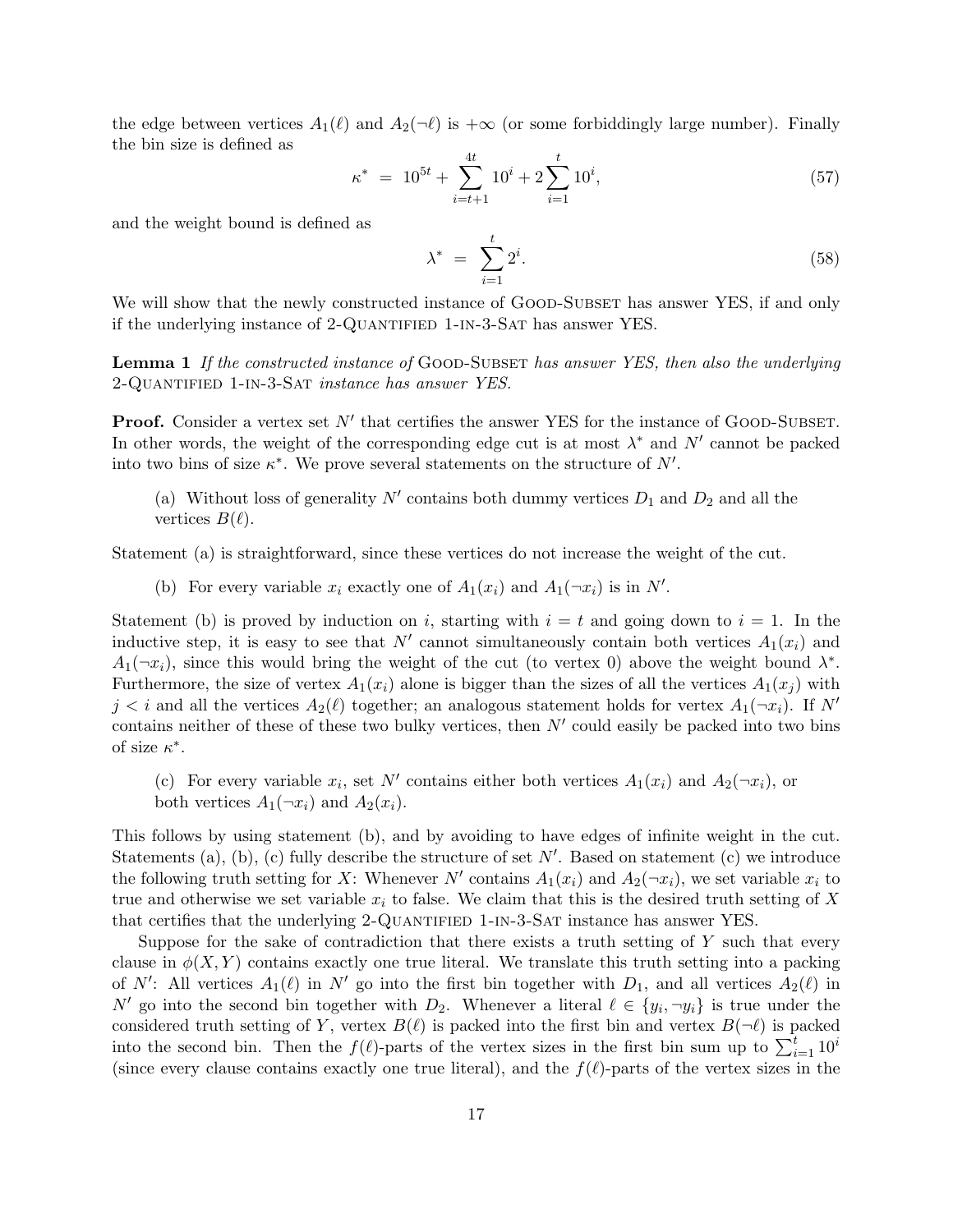the edge between vertices  $A_1(\ell)$  and  $A_2(\neg \ell)$  is  $+\infty$  (or some forbiddingly large number). Finally the bin size is defined as

$$
\kappa^* = 10^{5t} + \sum_{i=t+1}^{4t} 10^i + 2 \sum_{i=1}^t 10^i,
$$
\n(57)

and the weight bound is defined as

$$
\lambda^* = \sum_{i=1}^t 2^i. \tag{58}
$$

We will show that the newly constructed instance of GOOD-SUBSET has answer YES, if and only if the underlying instance of 2-QUANTIFIED 1-IN-3-SAT has answer YES.

**Lemma 1** If the constructed instance of GOOD-SUBSET has answer YES, then also the underlying 2-Quantified 1-in-3-Sat instance has answer YES.

**Proof.** Consider a vertex set  $N'$  that certifies the answer YES for the instance of GOOD-SUBSET. In other words, the weight of the corresponding edge cut is at most  $\lambda^*$  and  $N'$  cannot be packed into two bins of size  $\kappa^*$ . We prove several statements on the structure of  $N'$ .

(a) Without loss of generality  $N'$  contains both dummy vertices  $D_1$  and  $D_2$  and all the vertices  $B(\ell)$ .

Statement (a) is straightforward, since these vertices do not increase the weight of the cut.

(b) For every variable  $x_i$  exactly one of  $A_1(x_i)$  and  $A_1(\neg x_i)$  is in N'.

Statement (b) is proved by induction on i, starting with  $i = t$  and going down to  $i = 1$ . In the inductive step, it is easy to see that N' cannot simultaneously contain both vertices  $A_1(x_i)$  and  $A_1(\neg x_i)$ , since this would bring the weight of the cut (to vertex 0) above the weight bound  $\lambda^*$ . Furthermore, the size of vertex  $A_1(x_i)$  alone is bigger than the sizes of all the vertices  $A_1(x_i)$  with  $j < i$  and all the vertices  $A_2(\ell)$  together; an analogous statement holds for vertex  $A_1(\neg x_i)$ . If N' contains neither of these of these two bulky vertices, then  $N'$  could easily be packed into two bins of size  $\kappa^*$ .

(c) For every variable  $x_i$ , set N' contains either both vertices  $A_1(x_i)$  and  $A_2(\neg x_i)$ , or both vertices  $A_1(\neg x_i)$  and  $A_2(x_i)$ .

This follows by using statement (b), and by avoiding to have edges of infinite weight in the cut. Statements (a), (b), (c) fully describe the structure of set  $N'$ . Based on statement (c) we introduce the following truth setting for X: Whenever N' contains  $A_1(x_i)$  and  $A_2(\neg x_i)$ , we set variable  $x_i$  to true and otherwise we set variable  $x_i$  to false. We claim that this is the desired truth setting of X that certifies that the underlying 2-QUANTIFIED 1-IN-3-SAT instance has answer YES.

Suppose for the sake of contradiction that there exists a truth setting of Y such that every clause in  $\phi(X, Y)$  contains exactly one true literal. We translate this truth setting into a packing of N': All vertices  $A_1(\ell)$  in N' go into the first bin together with  $D_1$ , and all vertices  $A_2(\ell)$  in N' go into the second bin together with  $D_2$ . Whenever a literal  $\ell \in \{y_i, \neg y_i\}$  is true under the considered truth setting of Y, vertex  $B(\ell)$  is packed into the first bin and vertex  $B(\neg \ell)$  is packed into the second bin. Then the  $f(\ell)$ -parts of the vertex sizes in the first bin sum up to  $\sum_{i=1}^{t} 10^i$ (since every clause contains exactly one true literal), and the  $f(\ell)$ -parts of the vertex sizes in the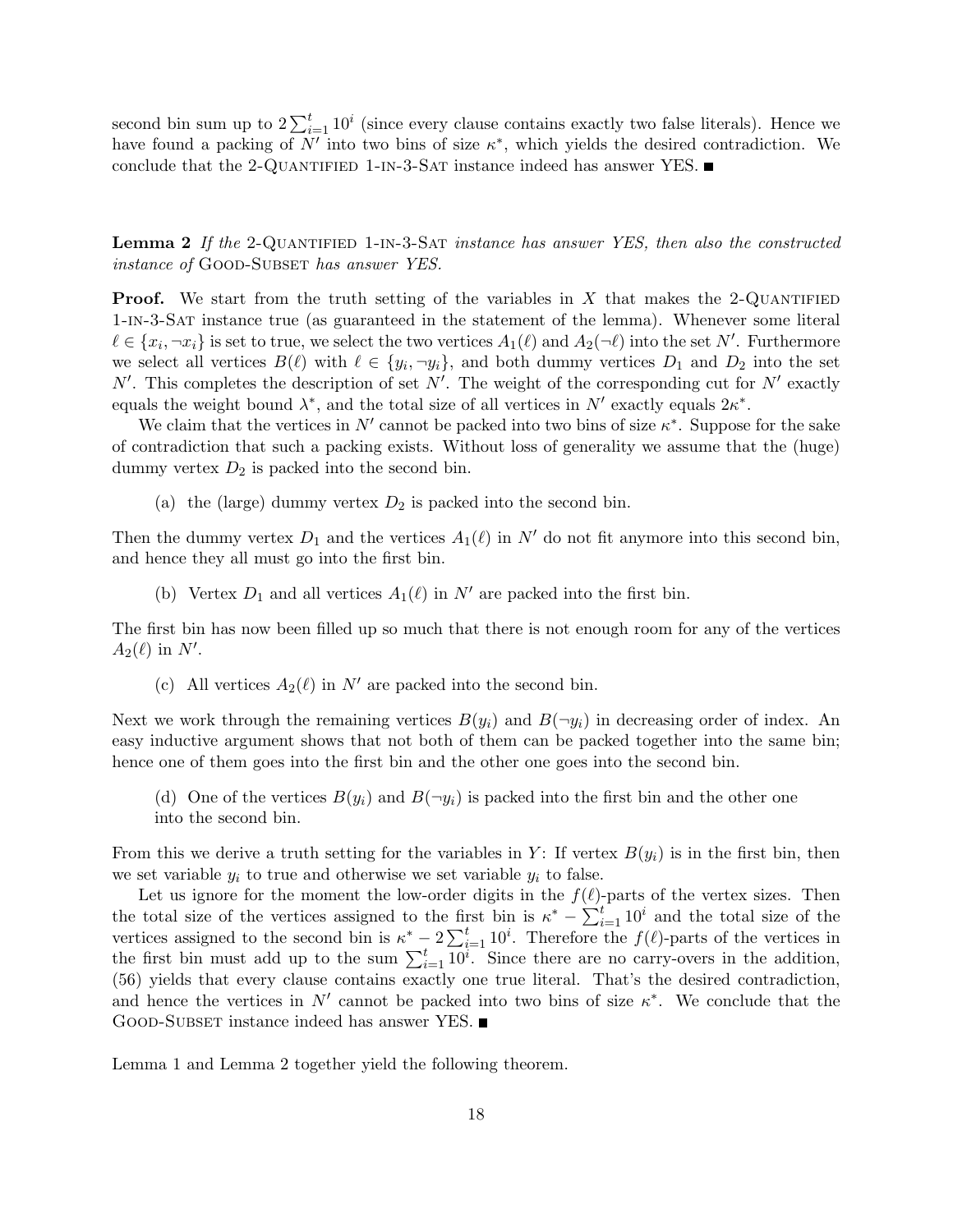second bin sum up to  $2\sum_{i=1}^{t}10^{i}$  (since every clause contains exactly two false literals). Hence we have found a packing of  $N'$  into two bins of size  $\kappa^*$ , which yields the desired contradiction. We conclude that the 2-QUANTIFIED 1-IN-3-SAT instance indeed has answer YES.  $\blacksquare$ 

Lemma 2 If the 2-QUANTIFIED 1-IN-3-SAT instance has answer YES, then also the constructed instance of GOOD-SUBSET has answer YES.

**Proof.** We start from the truth setting of the variables in  $X$  that makes the 2-QUANTIFIED 1-in-3-Sat instance true (as guaranteed in the statement of the lemma). Whenever some literal  $\ell \in \{x_i, \neg x_i\}$  is set to true, we select the two vertices  $A_1(\ell)$  and  $A_2(\neg \ell)$  into the set N'. Furthermore we select all vertices  $B(\ell)$  with  $\ell \in \{y_i, \neg y_i\}$ , and both dummy vertices  $D_1$  and  $D_2$  into the set  $N'$ . This completes the description of set N'. The weight of the corresponding cut for  $N'$  exactly equals the weight bound  $\lambda^*$ , and the total size of all vertices in N' exactly equals  $2\kappa^*$ .

We claim that the vertices in  $N'$  cannot be packed into two bins of size  $\kappa^*$ . Suppose for the sake of contradiction that such a packing exists. Without loss of generality we assume that the (huge) dummy vertex  $D_2$  is packed into the second bin.

(a) the (large) dummy vertex  $D_2$  is packed into the second bin.

Then the dummy vertex  $D_1$  and the vertices  $A_1(\ell)$  in N' do not fit anymore into this second bin, and hence they all must go into the first bin.

(b) Vertex  $D_1$  and all vertices  $A_1(\ell)$  in N' are packed into the first bin.

The first bin has now been filled up so much that there is not enough room for any of the vertices  $A_2(\ell)$  in N'.

(c) All vertices  $A_2(\ell)$  in N' are packed into the second bin.

Next we work through the remaining vertices  $B(y_i)$  and  $B(-y_i)$  in decreasing order of index. An easy inductive argument shows that not both of them can be packed together into the same bin; hence one of them goes into the first bin and the other one goes into the second bin.

(d) One of the vertices  $B(y_i)$  and  $B(\neg y_i)$  is packed into the first bin and the other one into the second bin.

From this we derive a truth setting for the variables in Y: If vertex  $B(y_i)$  is in the first bin, then we set variable  $y_i$  to true and otherwise we set variable  $y_i$  to false.

Let us ignore for the moment the low-order digits in the  $f(\ell)$ -parts of the vertex sizes. Then the total size of the vertices assigned to the first bin is  $\kappa^* - \sum_{i=1}^t 10^i$  and the total size of the vertices assigned to the second bin is  $\kappa^* - 2\sum_{i=1}^t 10^i$ . Therefore the  $f(\ell)$ -parts of the vertices in the first bin must add up to the sum  $\sum_{i=1}^{t} \overline{10^{i}}$ . Since there are no carry-overs in the addition, (56) yields that every clause contains exactly one true literal. That's the desired contradiction, and hence the vertices in  $N'$  cannot be packed into two bins of size  $\kappa^*$ . We conclude that the GOOD-SUBSET instance indeed has answer YES.

Lemma 1 and Lemma 2 together yield the following theorem.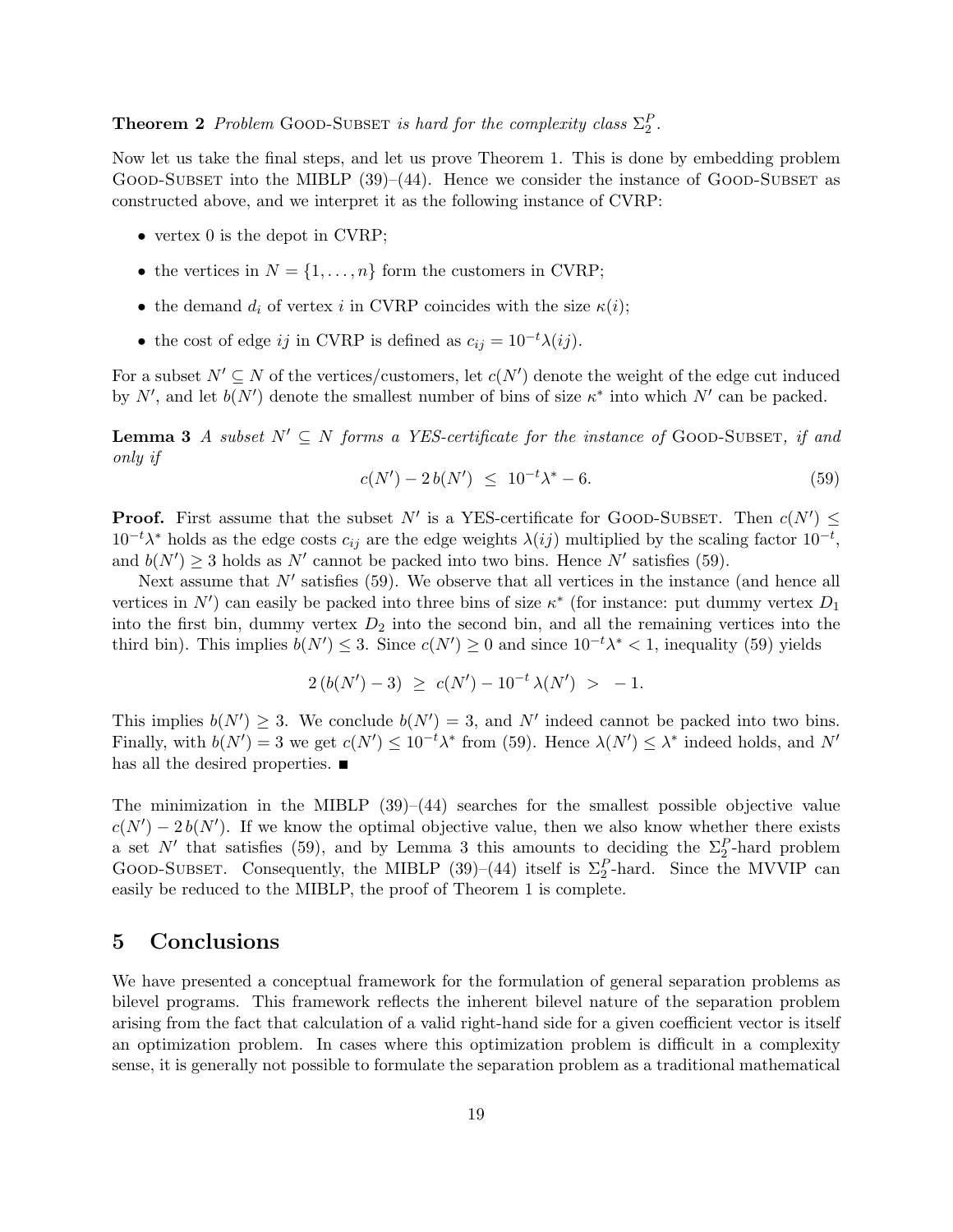# **Theorem 2** Problem GOOD-SUBSET is hard for the complexity class  $\Sigma_2^P$ .

Now let us take the final steps, and let us prove Theorem 1. This is done by embedding problem GOOD-SUBSET into the MIBLP  $(39)$ – $(44)$ . Hence we consider the instance of GOOD-SUBSET as constructed above, and we interpret it as the following instance of CVRP:

- vertex 0 is the depot in CVRP;
- the vertices in  $N = \{1, \ldots, n\}$  form the customers in CVRP;
- the demand  $d_i$  of vertex i in CVRP coincides with the size  $\kappa(i)$ ;
- the cost of edge ij in CVRP is defined as  $c_{ij} = 10^{-t} \lambda(ij)$ .

For a subset  $N' \subseteq N$  of the vertices/customers, let  $c(N')$  denote the weight of the edge cut induced by N', and let  $b(N')$  denote the smallest number of bins of size  $\kappa^*$  into which N' can be packed.

**Lemma 3** A subset  $N' \subseteq N$  forms a YES-certificate for the instance of GOOD-SUBSET, if and only if

$$
c(N') - 2b(N') \le 10^{-t} \lambda^* - 6. \tag{59}
$$

**Proof.** First assume that the subset N' is a YES-certificate for GOOD-SUBSET. Then  $c(N') \leq$  $10^{-t}\lambda^*$  holds as the edge costs  $c_{ij}$  are the edge weights  $\lambda(ij)$  multiplied by the scaling factor  $10^{-t}$ , and  $b(N') \geq 3$  holds as N' cannot be packed into two bins. Hence N' satisfies (59).

Next assume that  $N'$  satisfies (59). We observe that all vertices in the instance (and hence all vertices in  $N'$ ) can easily be packed into three bins of size  $\kappa^*$  (for instance: put dummy vertex  $D_1$ into the first bin, dummy vertex  $D_2$  into the second bin, and all the remaining vertices into the third bin). This implies  $b(N') \leq 3$ . Since  $c(N') \geq 0$  and since  $10^{-t} \lambda^* < 1$ , inequality (59) yields

$$
2(b(N')-3) \ge c(N') - 10^{-t} \lambda(N') > -1.
$$

This implies  $b(N') \geq 3$ . We conclude  $b(N') = 3$ , and N' indeed cannot be packed into two bins. Finally, with  $b(N') = 3$  we get  $c(N') \leq 10^{-t} \lambda^*$  from (59). Hence  $\lambda(N') \leq \lambda^*$  indeed holds, and N' has all the desired properties.  $\blacksquare$ 

The minimization in the MIBLP  $(39)–(44)$  searches for the smallest possible objective value  $c(N') - 2b(N')$ . If we know the optimal objective value, then we also know whether there exists a set N' that satisfies (59), and by Lemma 3 this amounts to deciding the  $\Sigma_2^P$ -hard problem GOOD-SUBSET. Consequently, the MIBLP (39)–(44) itself is  $\Sigma_2^P$ -hard. Since the MVVIP can easily be reduced to the MIBLP, the proof of Theorem 1 is complete.

### 5 Conclusions

We have presented a conceptual framework for the formulation of general separation problems as bilevel programs. This framework reflects the inherent bilevel nature of the separation problem arising from the fact that calculation of a valid right-hand side for a given coefficient vector is itself an optimization problem. In cases where this optimization problem is difficult in a complexity sense, it is generally not possible to formulate the separation problem as a traditional mathematical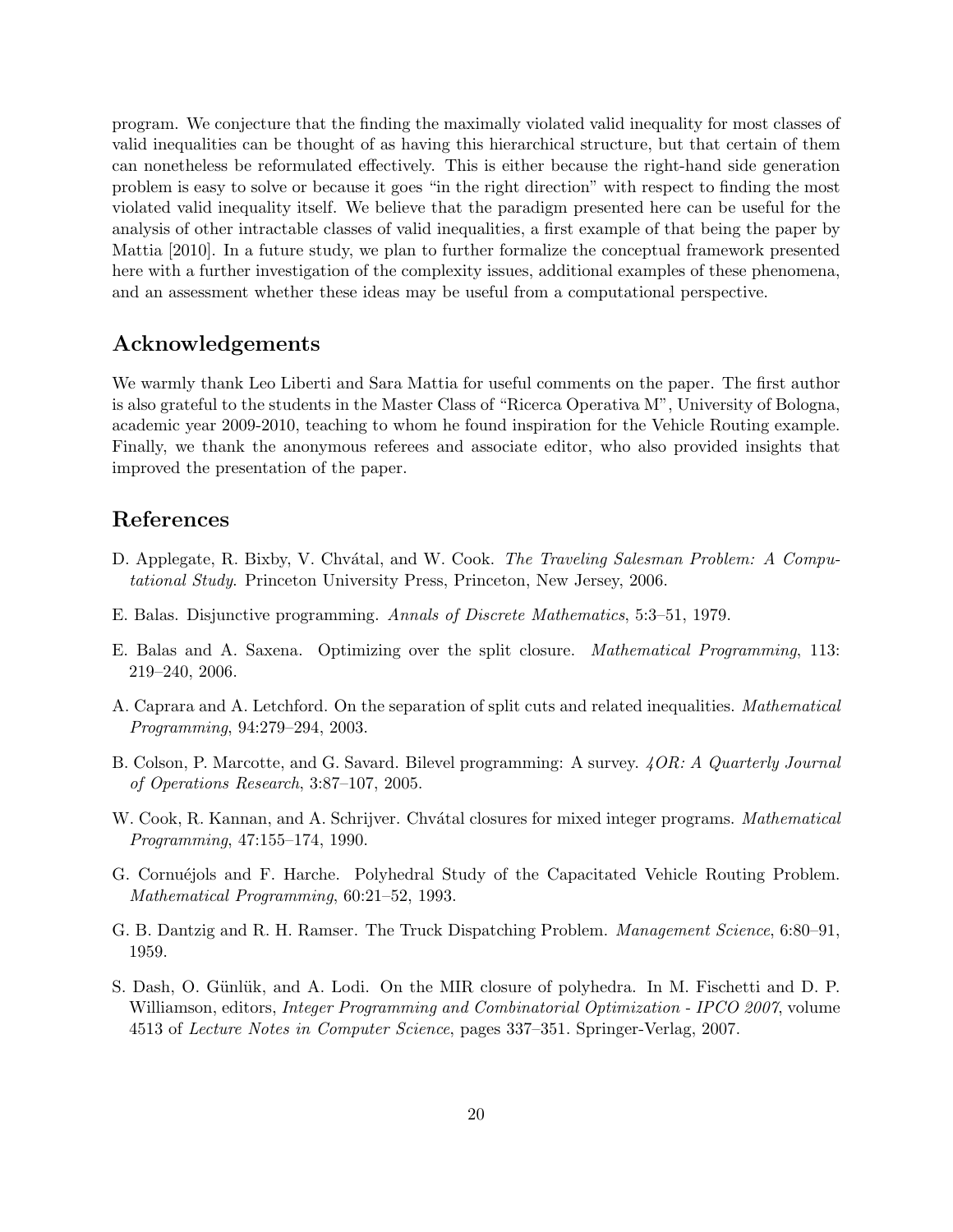program. We conjecture that the finding the maximally violated valid inequality for most classes of valid inequalities can be thought of as having this hierarchical structure, but that certain of them can nonetheless be reformulated effectively. This is either because the right-hand side generation problem is easy to solve or because it goes "in the right direction" with respect to finding the most violated valid inequality itself. We believe that the paradigm presented here can be useful for the analysis of other intractable classes of valid inequalities, a first example of that being the paper by Mattia [2010]. In a future study, we plan to further formalize the conceptual framework presented here with a further investigation of the complexity issues, additional examples of these phenomena, and an assessment whether these ideas may be useful from a computational perspective.

## Acknowledgements

We warmly thank Leo Liberti and Sara Mattia for useful comments on the paper. The first author is also grateful to the students in the Master Class of "Ricerca Operativa M", University of Bologna, academic year 2009-2010, teaching to whom he found inspiration for the Vehicle Routing example. Finally, we thank the anonymous referees and associate editor, who also provided insights that improved the presentation of the paper.

# References

- D. Applegate, R. Bixby, V. Chvátal, and W. Cook. *The Traveling Salesman Problem: A Compu*tational Study. Princeton University Press, Princeton, New Jersey, 2006.
- E. Balas. Disjunctive programming. Annals of Discrete Mathematics, 5:3–51, 1979.
- E. Balas and A. Saxena. Optimizing over the split closure. Mathematical Programming, 113: 219–240, 2006.
- A. Caprara and A. Letchford. On the separation of split cuts and related inequalities. Mathematical Programming, 94:279–294, 2003.
- B. Colson, P. Marcotte, and G. Savard. Bilevel programming: A survey. 4OR: A Quarterly Journal of Operations Research, 3:87–107, 2005.
- W. Cook, R. Kannan, and A. Schrijver. Chvátal closures for mixed integer programs. Mathematical Programming, 47:155–174, 1990.
- G. Cornuéjols and F. Harche. Polyhedral Study of the Capacitated Vehicle Routing Problem. Mathematical Programming, 60:21–52, 1993.
- G. B. Dantzig and R. H. Ramser. The Truck Dispatching Problem. Management Science, 6:80–91, 1959.
- S. Dash, O. Günlük, and A. Lodi. On the MIR closure of polyhedra. In M. Fischetti and D. P. Williamson, editors, *Integer Programming and Combinatorial Optimization - IPCO 2007*, volume 4513 of Lecture Notes in Computer Science, pages 337–351. Springer-Verlag, 2007.